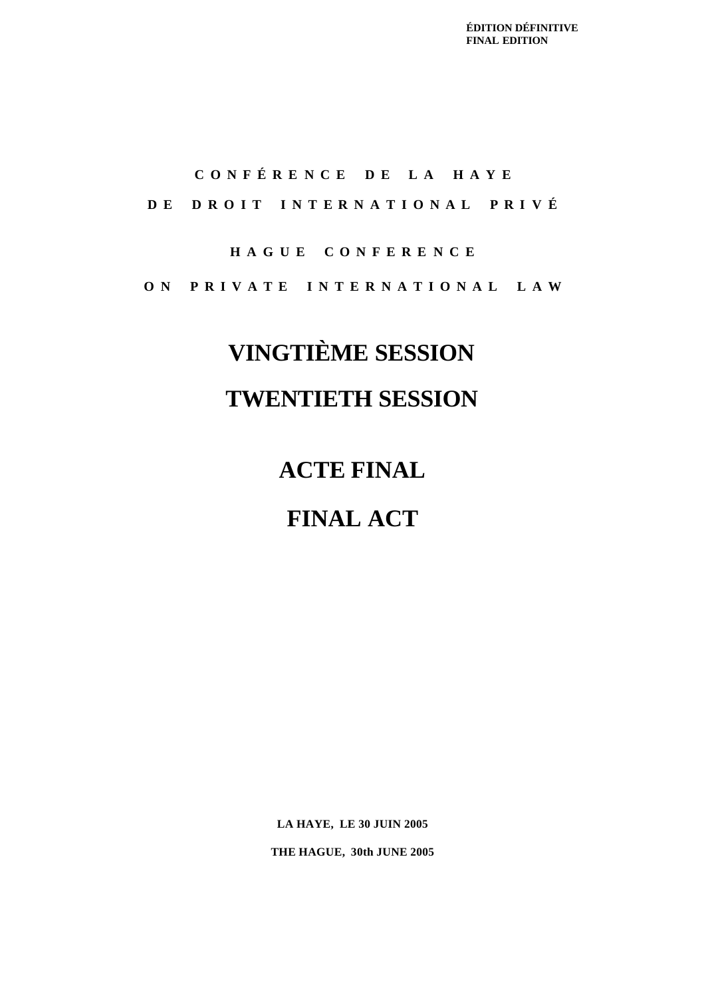**ÉDITION DÉFINITIVE FINAL EDITION**

## **C O N F É R E N C E D E L A H A Y E D E D R O I T I N T E R N A T I O N A L P R I V É**

### **H A G U E C O N F E R E N C E**

**O N P R I V A T E I N T E R N A T I O N A L L A W**

# **VINGTIÈME SESSION TWENTIETH SESSION**

**ACTE FINAL**

## **FINAL ACT**

**LA HAYE, LE 30 JUIN 2005**

**THE HAGUE, 30th JUNE 2005**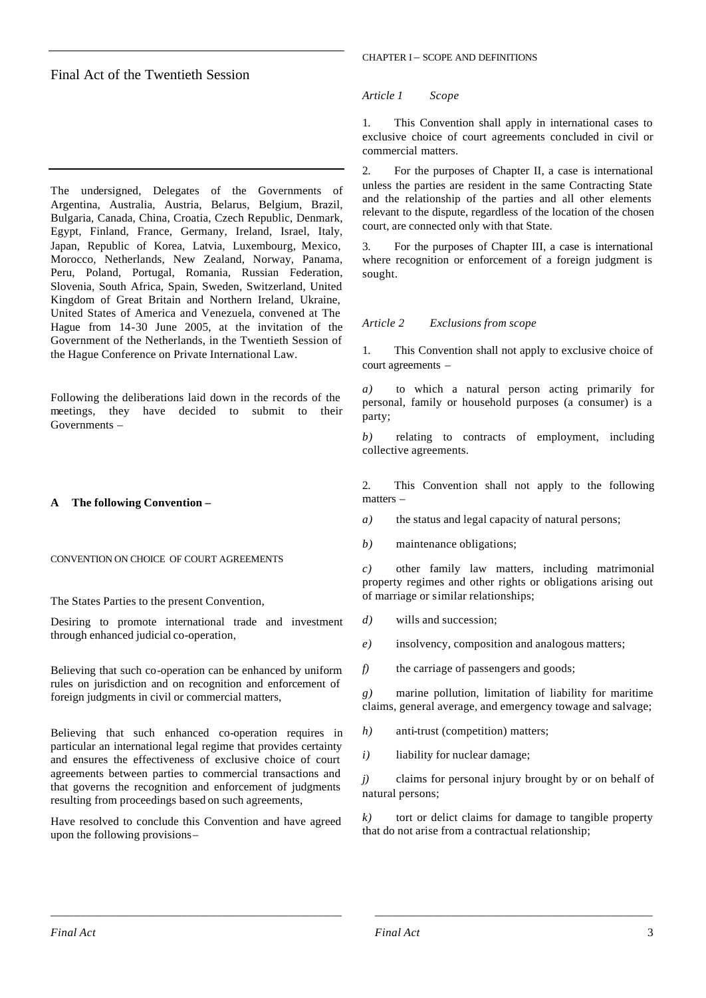Final Act of the Twentieth Session

The undersigned, Delegates of the Governments of Argentina, Australia, Austria, Belarus, Belgium, Brazil, Bulgaria, Canada, China, Croatia, Czech Republic, Denmark, Egypt, Finland, France, Germany, Ireland, Israel, Italy, Japan, Republic of Korea, Latvia, Luxembourg, Mexico, Morocco, Netherlands, New Zealand, Norway, Panama, Peru, Poland, Portugal, Romania, Russian Federation, Slovenia, South Africa, Spain, Sweden, Switzerland, United Kingdom of Great Britain and Northern Ireland, Ukraine, United States of America and Venezuela, convened at The Hague from 14-30 June 2005, at the invitation of the Government of the Netherlands, in the Twentieth Session of the Hague Conference on Private International Law.

Following the deliberations laid down in the records of the meetings, they have decided to submit to their Governments –

#### **A The following Convention –**

CONVENTION ON CHOICE OF COURT AGREEMENTS

The States Parties to the present Convention,

Desiring to promote international trade and investment through enhanced judicial co-operation,

Believing that such co-operation can be enhanced by uniform rules on jurisdiction and on recognition and enforcement of foreign judgments in civil or commercial matters,

Believing that such enhanced co-operation requires in particular an international legal regime that provides certainty and ensures the effectiveness of exclusive choice of court agreements between parties to commercial transactions and that governs the recognition and enforcement of judgments resulting from proceedings based on such agreements,

Have resolved to conclude this Convention and have agreed upon the following provisions –

*\_\_\_\_\_\_\_\_\_\_\_\_\_\_\_\_\_\_\_\_\_\_\_\_\_\_\_\_\_\_\_\_\_\_\_\_\_\_\_\_\_\_\_\_\_\_\_\_\_*

#### CHAPTER I – SCOPE AND DEFINITIONS

*Article 1 Scope*

1. This Convention shall apply in international cases to exclusive choice of court agreements concluded in civil or commercial matters.

2. For the purposes of Chapter II, a case is international unless the parties are resident in the same Contracting State and the relationship of the parties and all other elements relevant to the dispute, regardless of the location of the chosen court, are connected only with that State.

3. For the purposes of Chapter III, a case is international where recognition or enforcement of a foreign judgment is sought.

#### *Article 2 Exclusions from scope*

1. This Convention shall not apply to exclusive choice of court agreements –

*a)* to which a natural person acting primarily for personal, family or household purposes (a consumer) is a party;

*b)* relating to contracts of employment, including collective agreements.

2. This Convention shall not apply to the following matters –

- *a)* the status and legal capacity of natural persons;
- *b)* maintenance obligations;

*c)* other family law matters, including matrimonial property regimes and other rights or obligations arising out of marriage or similar relationships;

- *d)* wills and succession;
- *e)* insolvency, composition and analogous matters;
- *f*) the carriage of passengers and goods;

*g)* marine pollution, limitation of liability for maritime claims, general average, and emergency towage and salvage;

- *h*) anti-trust (competition) matters;
- *i*) liability for nuclear damage;

*j)* claims for personal injury brought by or on behalf of natural persons;

*k)* tort or delict claims for damage to tangible property that do not arise from a contractual relationship;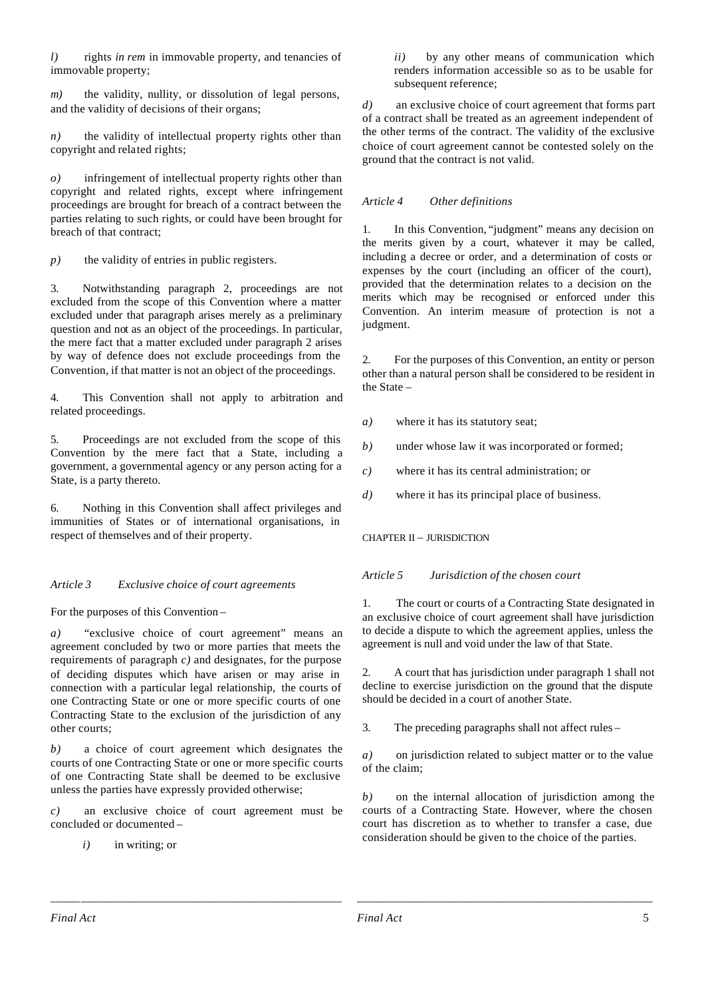*l*) rights *in rem* in immovable property, and tenancies of immovable property;

*m*) the validity, nullity, or dissolution of legal persons, and the validity of decisions of their organs;

*n*) the validity of intellectual property rights other than copyright and related rights;

*o)* infringement of intellectual property rights other than copyright and related rights, except where infringement proceedings are brought for breach of a contract between the parties relating to such rights, or could have been brought for breach of that contract;

*p*) the validity of entries in public registers.

3. Notwithstanding paragraph 2, proceedings are not excluded from the scope of this Convention where a matter excluded under that paragraph arises merely as a preliminary question and not as an object of the proceedings. In particular, the mere fact that a matter excluded under paragraph 2 arises by way of defence does not exclude proceedings from the Convention, if that matter is not an object of the proceedings.

4. This Convention shall not apply to arbitration and related proceedings.

5. Proceedings are not excluded from the scope of this Convention by the mere fact that a State, including a government, a governmental agency or any person acting for a State, is a party thereto.

6. Nothing in this Convention shall affect privileges and immunities of States or of international organisations, in respect of themselves and of their property.

#### *Article 3 Exclusive choice of court agreements*

For the purposes of this Convention –

*a)* "exclusive choice of court agreement" means an agreement concluded by two or more parties that meets the requirements of paragraph *c)* and designates, for the purpose of deciding disputes which have arisen or may arise in connection with a particular legal relationship, the courts of one Contracting State or one or more specific courts of one Contracting State to the exclusion of the jurisdiction of any other courts;

*b)* a choice of court agreement which designates the courts of one Contracting State or one or more specific courts of one Contracting State shall be deemed to be exclusive unless the parties have expressly provided otherwise;

*c)* an exclusive choice of court agreement must be concluded or documented –

*\_\_\_\_\_\_\_\_\_\_\_\_\_\_\_\_\_\_\_\_\_\_\_\_\_\_\_\_\_\_\_\_\_\_\_\_\_\_\_\_\_\_\_\_\_\_\_\_\_*

*i)* in writing; or

*ii)* by any other means of communication which renders information accessible so as to be usable for subsequent reference;

*d)* an exclusive choice of court agreement that forms part of a contract shall be treated as an agreement independent of the other terms of the contract. The validity of the exclusive choice of court agreement cannot be contested solely on the ground that the contract is not valid.

#### *Article 4 Other definitions*

1. In this Convention, "judgment" means any decision on the merits given by a court, whatever it may be called, including a decree or order, and a determination of costs or expenses by the court (including an officer of the court), provided that the determination relates to a decision on the merits which may be recognised or enforced under this Convention. An interim measure of protection is not a judgment.

2. For the purposes of this Convention, an entity or person other than a natural person shall be considered to be resident in the State –

- *a*) where it has its statutory seat;
- *b)* under whose law it was incorporated or formed;
- *c)* where it has its central administration; or
- *d)* where it has its principal place of business.

CHAPTER II – JURISDICTION

#### *Article 5 Jurisdiction of the chosen court*

1. The court or courts of a Contracting State designated in an exclusive choice of court agreement shall have jurisdiction to decide a dispute to which the agreement applies, unless the agreement is null and void under the law of that State.

2. A court that has jurisdiction under paragraph 1 shall not decline to exercise jurisdiction on the ground that the dispute should be decided in a court of another State.

3. The preceding paragraphs shall not affect rules –

*a)* on jurisdiction related to subject matter or to the value of the claim;

*b)* on the internal allocation of jurisdiction among the courts of a Contracting State. However, where the chosen court has discretion as to whether to transfer a case, due consideration should be given to the choice of the parties.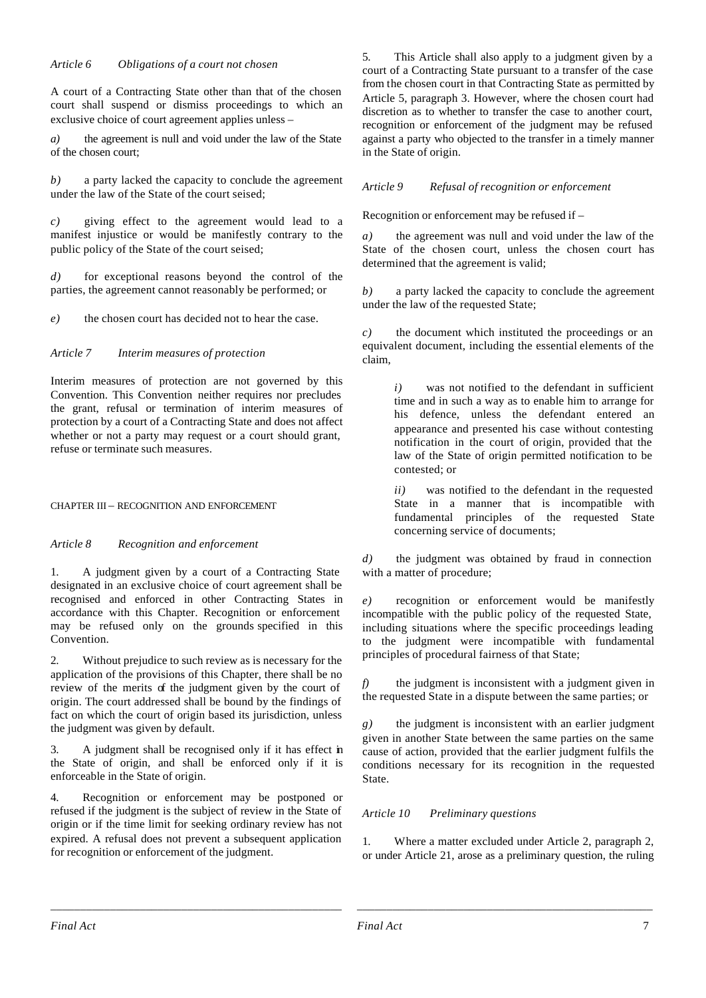#### *Article 6 Obligations of a court not chosen*

A court of a Contracting State other than that of the chosen court shall suspend or dismiss proceedings to which an exclusive choice of court agreement applies unless –

*a)* the agreement is null and void under the law of the State of the chosen court;

*b)* a party lacked the capacity to conclude the agreement under the law of the State of the court seised;

*c)* giving effect to the agreement would lead to a manifest injustice or would be manifestly contrary to the public policy of the State of the court seised;

*d)* for exceptional reasons beyond the control of the parties, the agreement cannot reasonably be performed; or

*e)* the chosen court has decided not to hear the case.

#### *Article 7 Interim measures of protection*

Interim measures of protection are not governed by this Convention. This Convention neither requires nor precludes the grant, refusal or termination of interim measures of protection by a court of a Contracting State and does not affect whether or not a party may request or a court should grant, refuse or terminate such measures.

#### CHAPTER III – RECOGNITION AND ENFORCEMENT

#### *Article 8 Recognition and enforcement*

1. A judgment given by a court of a Contracting State designated in an exclusive choice of court agreement shall be recognised and enforced in other Contracting States in accordance with this Chapter. Recognition or enforcement may be refused only on the grounds specified in this Convention.

2. Without prejudice to such review as is necessary for the application of the provisions of this Chapter, there shall be no review of the merits of the judgment given by the court of origin. The court addressed shall be bound by the findings of fact on which the court of origin based its jurisdiction, unless the judgment was given by default.

3. A judgment shall be recognised only if it has effect in the State of origin, and shall be enforced only if it is enforceable in the State of origin.

4. Recognition or enforcement may be postponed or refused if the judgment is the subject of review in the State of origin or if the time limit for seeking ordinary review has not expired. A refusal does not prevent a subsequent application for recognition or enforcement of the judgment.

*\_\_\_\_\_\_\_\_\_\_\_\_\_\_\_\_\_\_\_\_\_\_\_\_\_\_\_\_\_\_\_\_\_\_\_\_\_\_\_\_\_\_\_\_\_\_\_\_\_*

5. This Article shall also apply to a judgment given by a court of a Contracting State pursuant to a transfer of the case from the chosen court in that Contracting State as permitted by Article 5, paragraph 3. However, where the chosen court had discretion as to whether to transfer the case to another court, recognition or enforcement of the judgment may be refused against a party who objected to the transfer in a timely manner in the State of origin.

#### *Article 9 Refusal of recognition or enforcement*

Recognition or enforcement may be refused if –

*a)* the agreement was null and void under the law of the State of the chosen court, unless the chosen court has determined that the agreement is valid;

*b)* a party lacked the capacity to conclude the agreement under the law of the requested State;

*c)* the document which instituted the proceedings or an equivalent document, including the essential elements of the claim,

> *i*) was not notified to the defendant in sufficient time and in such a way as to enable him to arrange for his defence, unless the defendant entered an appearance and presented his case without contesting notification in the court of origin, provided that the law of the State of origin permitted notification to be contested; or

> *ii)* was notified to the defendant in the requested State in a manner that is incompatible with fundamental principles of the requested State concerning service of documents;

*d)* the judgment was obtained by fraud in connection with a matter of procedure;

*e)* recognition or enforcement would be manifestly incompatible with the public policy of the requested State, including situations where the specific proceedings leading to the judgment were incompatible with fundamental principles of procedural fairness of that State;

*f)* the judgment is inconsistent with a judgment given in the requested State in a dispute between the same parties; or

*g)* the judgment is inconsistent with an earlier judgment given in another State between the same parties on the same cause of action, provided that the earlier judgment fulfils the conditions necessary for its recognition in the requested State.

*Article 10 Preliminary questions*

1. Where a matter excluded under Article 2, paragraph 2, or under Article 21, arose as a preliminary question, the ruling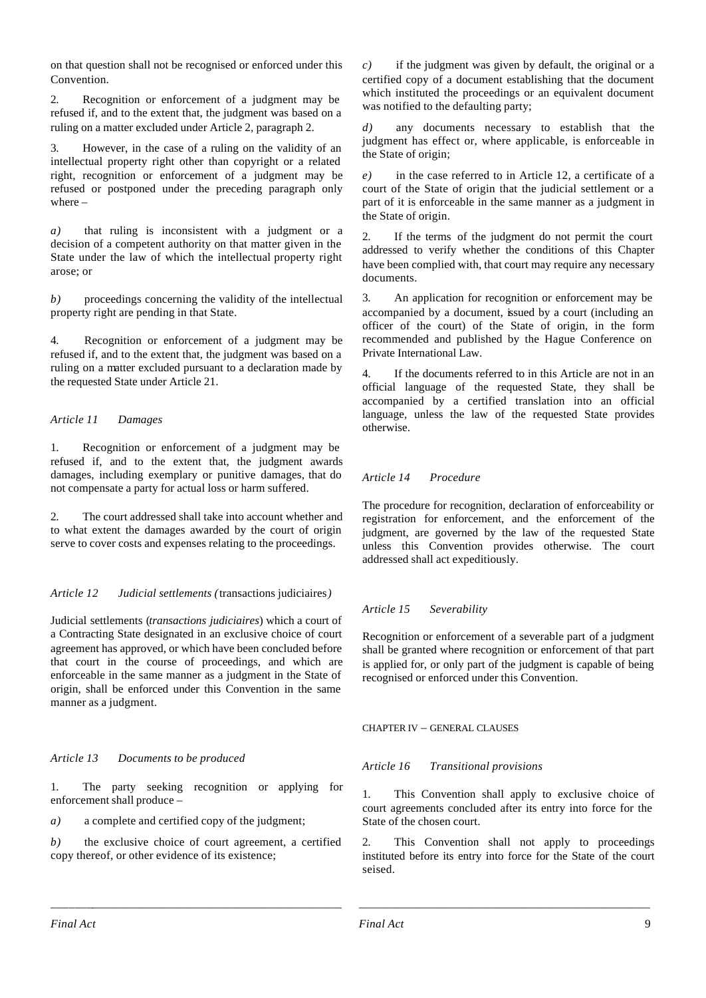on that question shall not be recognised or enforced under this Convention.

2. Recognition or enforcement of a judgment may be refused if, and to the extent that, the judgment was based on a ruling on a matter excluded under Article 2, paragraph 2.

3. However, in the case of a ruling on the validity of an intellectual property right other than copyright or a related right, recognition or enforcement of a judgment may be refused or postponed under the preceding paragraph only where –

*a)* that ruling is inconsistent with a judgment or a decision of a competent authority on that matter given in the State under the law of which the intellectual property right arose; or

*b*) proceedings concerning the validity of the intellectual property right are pending in that State.

4. Recognition or enforcement of a judgment may be refused if, and to the extent that, the judgment was based on a ruling on a matter excluded pursuant to a declaration made by the requested State under Article 21.

#### *Article 11 Damages*

1. Recognition or enforcement of a judgment may be refused if, and to the extent that, the judgment awards damages, including exemplary or punitive damages, that do not compensate a party for actual loss or harm suffered.

2. The court addressed shall take into account whether and to what extent the damages awarded by the court of origin serve to cover costs and expenses relating to the proceedings.

#### *Article 12 Judicial settlements (*transactions judiciaires*)*

Judicial settlements (*transactions judiciaires*) which a court of a Contracting State designated in an exclusive choice of court agreement has approved, or which have been concluded before that court in the course of proceedings, and which are enforceable in the same manner as a judgment in the State of origin, shall be enforced under this Convention in the same manner as a judgment.

#### *Article 13 Documents to be produced*

1. The party seeking recognition or applying for enforcement shall produce –

*a)* a complete and certified copy of the judgment;

*b)* the exclusive choice of court agreement, a certified copy thereof, or other evidence of its existence;

*\_\_\_\_\_\_\_\_\_\_\_\_\_\_\_\_\_\_\_\_\_\_\_\_\_\_\_\_\_\_\_\_\_\_\_\_\_\_\_\_\_\_\_\_\_\_\_\_\_*

*c)* if the judgment was given by default, the original or a certified copy of a document establishing that the document which instituted the proceedings or an equivalent document was notified to the defaulting party;

*d)* any documents necessary to establish that the judgment has effect or, where applicable, is enforceable in the State of origin;

*e)* in the case referred to in Article 12, a certificate of a court of the State of origin that the judicial settlement or a part of it is enforceable in the same manner as a judgment in the State of origin.

2. If the terms of the judgment do not permit the court addressed to verify whether the conditions of this Chapter have been complied with, that court may require any necessary documents.

3. An application for recognition or enforcement may be accompanied by a document, issued by a court (including an officer of the court) of the State of origin, in the form recommended and published by the Hague Conference on Private International Law.

4. If the documents referred to in this Article are not in an official language of the requested State, they shall be accompanied by a certified translation into an official language, unless the law of the requested State provides otherwise.

#### *Article 14 Procedure*

The procedure for recognition, declaration of enforceability or registration for enforcement, and the enforcement of the judgment, are governed by the law of the requested State unless this Convention provides otherwise. The court addressed shall act expeditiously.

#### *Article 15 Severability*

Recognition or enforcement of a severable part of a judgment shall be granted where recognition or enforcement of that part is applied for, or only part of the judgment is capable of being recognised or enforced under this Convention.

CHAPTER IV – GENERAL CLAUSES

*Article 16 Transitional provisions*

1. This Convention shall apply to exclusive choice of court agreements concluded after its entry into force for the State of the chosen court.

2. This Convention shall not apply to proceedings instituted before its entry into force for the State of the court seised.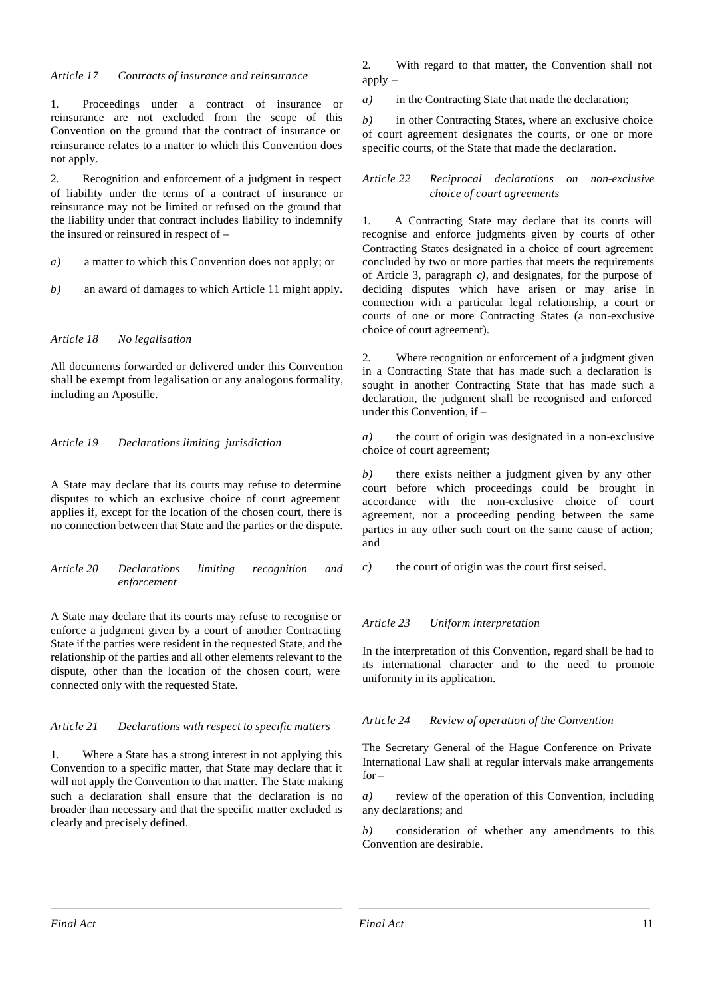#### *Article 17 Contracts of insurance and reinsurance*

1. Proceedings under a contract of insurance or reinsurance are not excluded from the scope of this Convention on the ground that the contract of insurance or reinsurance relates to a matter to which this Convention does not apply.

2. Recognition and enforcement of a judgment in respect of liability under the terms of a contract of insurance or reinsurance may not be limited or refused on the ground that the liability under that contract includes liability to indemnify the insured or reinsured in respect of –

*a)* a matter to which this Convention does not apply; or

*b)* an award of damages to which Article 11 might apply.

#### *Article 18 No legalisation*

All documents forwarded or delivered under this Convention shall be exempt from legalisation or any analogous formality, including an Apostille.

*Article 19 Declarations limiting jurisdiction*

A State may declare that its courts may refuse to determine disputes to which an exclusive choice of court agreement applies if, except for the location of the chosen court, there is no connection between that State and the parties or the dispute.

| Article 20 | <i>Declarations</i> | limiting | recognition | and |
|------------|---------------------|----------|-------------|-----|
|            | enforcement         |          |             |     |

A State may declare that its courts may refuse to recognise or enforce a judgment given by a court of another Contracting State if the parties were resident in the requested State, and the relationship of the parties and all other elements relevant to the dispute, other than the location of the chosen court, were connected only with the requested State.

#### *Article 21 Declarations with respect to specific matters*

1. Where a State has a strong interest in not applying this Convention to a specific matter, that State may declare that it will not apply the Convention to that matter. The State making such a declaration shall ensure that the declaration is no broader than necessary and that the specific matter excluded is clearly and precisely defined.

*\_\_\_\_\_\_\_\_\_\_\_\_\_\_\_\_\_\_\_\_\_\_\_\_\_\_\_\_\_\_\_\_\_\_\_\_\_\_\_\_\_\_\_\_\_\_\_\_\_*

2. With regard to that matter, the Convention shall not apply –

*a)* in the Contracting State that made the declaration;

*b)* in other Contracting States, where an exclusive choice of court agreement designates the courts, or one or more specific courts, of the State that made the declaration.

#### *Article 22 Reciprocal declarations on non-exclusive choice of court agreements*

1. A Contracting State may declare that its courts will recognise and enforce judgments given by courts of other Contracting States designated in a choice of court agreement concluded by two or more parties that meets the requirements of Article 3, paragraph *c)*, and designates, for the purpose of deciding disputes which have arisen or may arise in connection with a particular legal relationship, a court or courts of one or more Contracting States (a non-exclusive choice of court agreement).

2. Where recognition or enforcement of a judgment given in a Contracting State that has made such a declaration is sought in another Contracting State that has made such a declaration, the judgment shall be recognised and enforced under this Convention, if –

*a)* the court of origin was designated in a non-exclusive choice of court agreement;

*b)* there exists neither a judgment given by any other court before which proceedings could be brought in accordance with the non-exclusive choice of court agreement, nor a proceeding pending between the same parties in any other such court on the same cause of action; and

*c)* the court of origin was the court first seised.

#### *Article 23 Uniform interpretation*

In the interpretation of this Convention, regard shall be had to its international character and to the need to promote uniformity in its application.

#### *Article 24 Review of operation of the Convention*

The Secretary General of the Hague Conference on Private International Law shall at regular intervals make arrangements  $for -$ 

*a)* review of the operation of this Convention, including any declarations; and

*b)* consideration of whether any amendments to this Convention are desirable.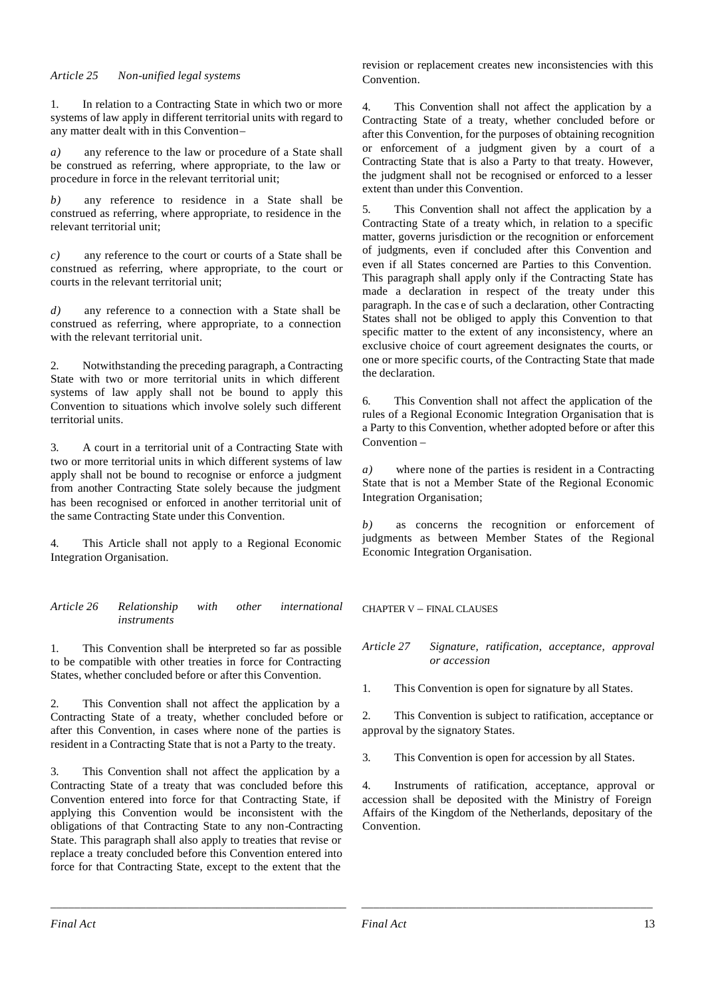#### *Article 25 Non-unified legal systems*

1. In relation to a Contracting State in which two or more systems of law apply in different territorial units with regard to any matter dealt with in this Convention –

*a)* any reference to the law or procedure of a State shall be construed as referring, where appropriate, to the law or procedure in force in the relevant territorial unit;

*b)* any reference to residence in a State shall be construed as referring, where appropriate, to residence in the relevant territorial unit;

*c)* any reference to the court or courts of a State shall be construed as referring, where appropriate, to the court or courts in the relevant territorial unit;

*d)* any reference to a connection with a State shall be construed as referring, where appropriate, to a connection with the relevant territorial unit.

2. Notwithstanding the preceding paragraph, a Contracting State with two or more territorial units in which different systems of law apply shall not be bound to apply this Convention to situations which involve solely such different territorial units.

3. A court in a territorial unit of a Contracting State with two or more territorial units in which different systems of law apply shall not be bound to recognise or enforce a judgment from another Contracting State solely because the judgment has been recognised or enforced in another territorial unit of the same Contracting State under this Convention.

4. This Article shall not apply to a Regional Economic Integration Organisation.

| Article 26 | Relationship       | with | other | international |
|------------|--------------------|------|-------|---------------|
|            | <i>instruments</i> |      |       |               |

1. This Convention shall be interpreted so far as possible to be compatible with other treaties in force for Contracting States, whether concluded before or after this Convention.

2. This Convention shall not affect the application by a Contracting State of a treaty, whether concluded before or after this Convention, in cases where none of the parties is resident in a Contracting State that is not a Party to the treaty.

3. This Convention shall not affect the application by a Contracting State of a treaty that was concluded before this Convention entered into force for that Contracting State, if applying this Convention would be inconsistent with the obligations of that Contracting State to any non-Contracting State. This paragraph shall also apply to treaties that revise or replace a treaty concluded before this Convention entered into force for that Contracting State, except to the extent that the

*\_\_\_\_\_\_\_\_\_\_\_\_\_\_\_\_\_\_\_\_\_\_\_\_\_\_\_\_\_\_\_\_\_\_\_\_\_\_\_\_\_\_\_\_\_\_\_\_\_\_*

revision or replacement creates new inconsistencies with this Convention.

4. This Convention shall not affect the application by a Contracting State of a treaty, whether concluded before or after this Convention, for the purposes of obtaining recognition or enforcement of a judgment given by a court of a Contracting State that is also a Party to that treaty. However, the judgment shall not be recognised or enforced to a lesser extent than under this Convention.

5. This Convention shall not affect the application by a Contracting State of a treaty which, in relation to a specific matter, governs jurisdiction or the recognition or enforcement of judgments, even if concluded after this Convention and even if all States concerned are Parties to this Convention. This paragraph shall apply only if the Contracting State has made a declaration in respect of the treaty under this paragraph. In the cas e of such a declaration, other Contracting States shall not be obliged to apply this Convention to that specific matter to the extent of any inconsistency, where an exclusive choice of court agreement designates the courts, or one or more specific courts, of the Contracting State that made the declaration.

6. This Convention shall not affect the application of the rules of a Regional Economic Integration Organisation that is a Party to this Convention, whether adopted before or after this Convention –

*a)* where none of the parties is resident in a Contracting State that is not a Member State of the Regional Economic Integration Organisation;

*b)* as concerns the recognition or enforcement of judgments as between Member States of the Regional Economic Integration Organisation.

CHAPTER V – FINAL CLAUSES

*Article 27 Signature, ratification, acceptance, approval or accession*

1. This Convention is open for signature by all States.

2. This Convention is subject to ratification, acceptance or approval by the signatory States.

3. This Convention is open for accession by all States.

4. Instruments of ratification, acceptance, approval or accession shall be deposited with the Ministry of Foreign Affairs of the Kingdom of the Netherlands, depositary of the Convention.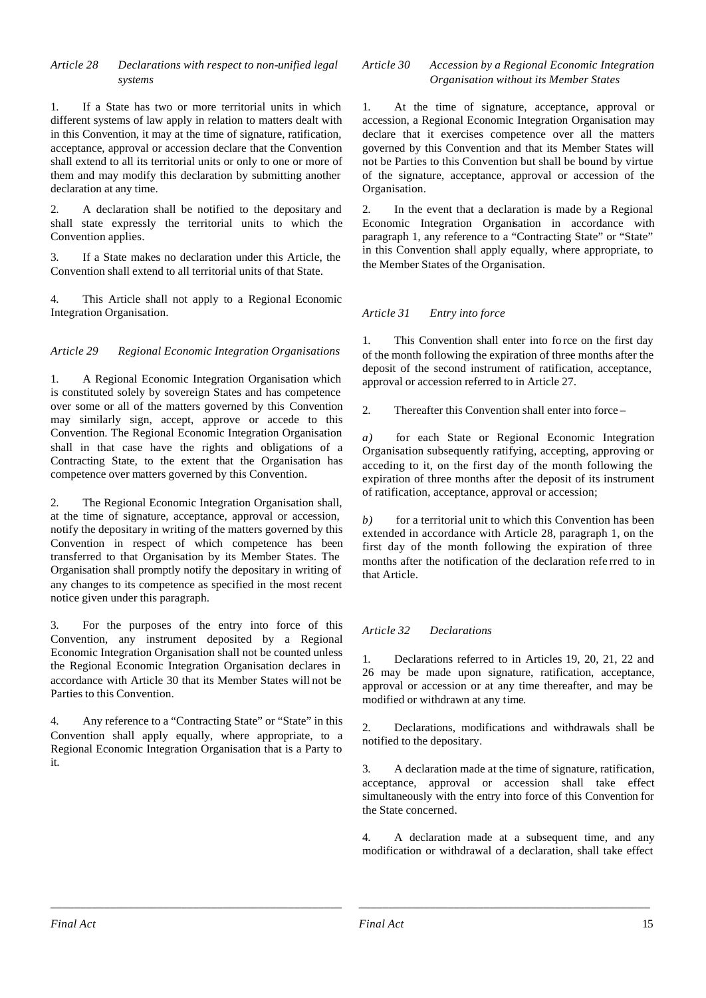*Article 28 Declarations with respect to non-unified legal systems*

1. If a State has two or more territorial units in which different systems of law apply in relation to matters dealt with in this Convention, it may at the time of signature, ratification, acceptance, approval or accession declare that the Convention shall extend to all its territorial units or only to one or more of them and may modify this declaration by submitting another declaration at any time.

2. A declaration shall be notified to the depositary and shall state expressly the territorial units to which the Convention applies.

3. If a State makes no declaration under this Article, the Convention shall extend to all territorial units of that State.

4. This Article shall not apply to a Regional Economic Integration Organisation.

*Article 29 Regional Economic Integration Organisations*

1. A Regional Economic Integration Organisation which is constituted solely by sovereign States and has competence over some or all of the matters governed by this Convention may similarly sign, accept, approve or accede to this Convention. The Regional Economic Integration Organisation shall in that case have the rights and obligations of a Contracting State, to the extent that the Organisation has competence over matters governed by this Convention.

2. The Regional Economic Integration Organisation shall, at the time of signature, acceptance, approval or accession, notify the depositary in writing of the matters governed by this Convention in respect of which competence has been transferred to that Organisation by its Member States. The Organisation shall promptly notify the depositary in writing of any changes to its competence as specified in the most recent notice given under this paragraph.

3. For the purposes of the entry into force of this Convention, any instrument deposited by a Regional Economic Integration Organisation shall not be counted unless the Regional Economic Integration Organisation declares in accordance with Article 30 that its Member States will not be Parties to this Convention.

4. Any reference to a "Contracting State" or "State" in this Convention shall apply equally, where appropriate, to a Regional Economic Integration Organisation that is a Party to it.

*\_\_\_\_\_\_\_\_\_\_\_\_\_\_\_\_\_\_\_\_\_\_\_\_\_\_\_\_\_\_\_\_\_\_\_\_\_\_\_\_\_\_\_\_\_\_\_\_\_*

#### *Article 30 Accession by a Regional Economic Integration Organisation without its Member States*

1. At the time of signature, acceptance, approval or accession, a Regional Economic Integration Organisation may declare that it exercises competence over all the matters governed by this Convention and that its Member States will not be Parties to this Convention but shall be bound by virtue of the signature, acceptance, approval or accession of the Organisation.

2. In the event that a declaration is made by a Regional Economic Integration Organisation in accordance with paragraph 1, any reference to a "Contracting State" or "State" in this Convention shall apply equally, where appropriate, to the Member States of the Organisation.

#### *Article 31 Entry into force*

1. This Convention shall enter into fo rce on the first day of the month following the expiration of three months after the deposit of the second instrument of ratification, acceptance, approval or accession referred to in Article 27.

2. Thereafter this Convention shall enter into force –

*a)* for each State or Regional Economic Integration Organisation subsequently ratifying, accepting, approving or acceding to it, on the first day of the month following the expiration of three months after the deposit of its instrument of ratification, acceptance, approval or accession;

*b*) for a territorial unit to which this Convention has been extended in accordance with Article 28, paragraph 1, on the first day of the month following the expiration of three months after the notification of the declaration refe rred to in that Article.

#### *Article 32 Declarations*

1. Declarations referred to in Articles 19, 20, 21, 22 and 26 may be made upon signature, ratification, acceptance, approval or accession or at any time thereafter, and may be modified or withdrawn at any time.

2. Declarations, modifications and withdrawals shall be notified to the depositary.

3. A declaration made at the time of signature, ratification, acceptance, approval or accession shall take effect simultaneously with the entry into force of this Convention for the State concerned.

4. A declaration made at a subsequent time, and any modification or withdrawal of a declaration, shall take effect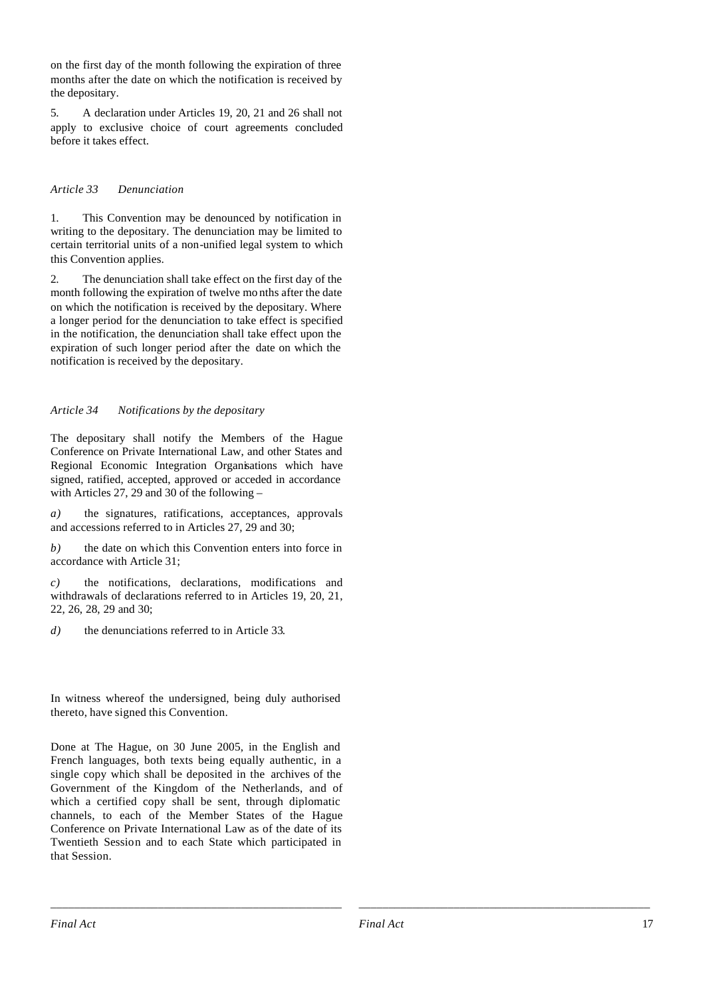on the first day of the month following the expiration of three months after the date on which the notification is received by the depositary.

5. A declaration under Articles 19, 20, 21 and 26 shall not apply to exclusive choice of court agreements concluded before it takes effect.

#### *Article 33 Denunciation*

1. This Convention may be denounced by notification in writing to the depositary. The denunciation may be limited to certain territorial units of a non-unified legal system to which this Convention applies.

2. The denunciation shall take effect on the first day of the month following the expiration of twelve mo nths after the date on which the notification is received by the depositary. Where a longer period for the denunciation to take effect is specified in the notification, the denunciation shall take effect upon the expiration of such longer period after the date on which the notification is received by the depositary.

#### *Article 34 Notifications by the depositary*

The depositary shall notify the Members of the Hague Conference on Private International Law, and other States and Regional Economic Integration Organisations which have signed, ratified, accepted, approved or acceded in accordance with Articles 27, 29 and 30 of the following –

*a)* the signatures, ratifications, acceptances, approvals and accessions referred to in Articles 27, 29 and 30;

*b)* the date on which this Convention enters into force in accordance with Article 31;

*c)* the notifications, declarations, modifications and withdrawals of declarations referred to in Articles 19, 20, 21, 22, 26, 28, 29 and 30;

*d*) the denunciations referred to in Article 33.

In witness whereof the undersigned, being duly authorised thereto, have signed this Convention.

Done at The Hague, on 30 June 2005, in the English and French languages, both texts being equally authentic, in a single copy which shall be deposited in the archives of the Government of the Kingdom of the Netherlands, and of which a certified copy shall be sent, through diplomatic channels, to each of the Member States of the Hague Conference on Private International Law as of the date of its Twentieth Session and to each State which participated in that Session.

*\_\_\_\_\_\_\_\_\_\_\_\_\_\_\_\_\_\_\_\_\_\_\_\_\_\_\_\_\_\_\_\_\_\_\_\_\_\_\_\_\_\_\_\_\_\_\_\_\_*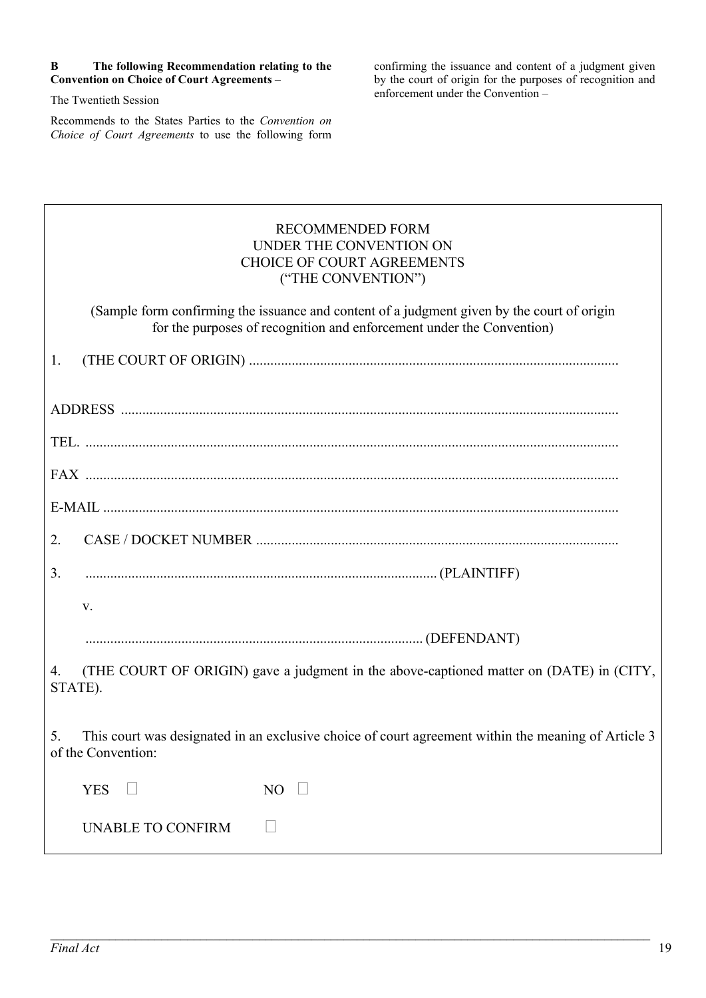#### **B The following Recommendation relating to the Convention on Choice of Court Agreements –**

confirming the issuance and content of a judgment given by the court of origin for the purposes of recognition and enforcement under the Convention –

The Twentieth Session

Recommends to the States Parties to the *Convention on Choice of Court Agreements* to use the following form

|               | <b>RECOMMENDED FORM</b><br>UNDER THE CONVENTION ON<br><b>CHOICE OF COURT AGREEMENTS</b><br>("THE CONVENTION")                                                        |
|---------------|----------------------------------------------------------------------------------------------------------------------------------------------------------------------|
|               | (Sample form confirming the issuance and content of a judgment given by the court of origin<br>for the purposes of recognition and enforcement under the Convention) |
| 1.            |                                                                                                                                                                      |
|               |                                                                                                                                                                      |
|               |                                                                                                                                                                      |
|               |                                                                                                                                                                      |
|               |                                                                                                                                                                      |
| 2.            |                                                                                                                                                                      |
| 3.            |                                                                                                                                                                      |
|               | V.                                                                                                                                                                   |
|               |                                                                                                                                                                      |
| 4.<br>STATE). | (THE COURT OF ORIGIN) gave a judgment in the above-captioned matter on (DATE) in (CITY,                                                                              |
|               | This court was designated in an exclusive choice of court agreement within the meaning of Article 3<br>of the Convention:                                            |
|               | <b>YES</b><br>NO                                                                                                                                                     |
|               | <b>UNABLE TO CONFIRM</b>                                                                                                                                             |

 $\mathcal{L} = \{ \mathcal{L} \mathcal{L} \mathcal{L} \mathcal{L} \mathcal{L} \mathcal{L} \mathcal{L} \mathcal{L} \mathcal{L} \mathcal{L} \mathcal{L} \mathcal{L} \mathcal{L} \mathcal{L} \mathcal{L} \mathcal{L} \mathcal{L} \mathcal{L} \mathcal{L} \mathcal{L} \mathcal{L} \mathcal{L} \mathcal{L} \mathcal{L} \mathcal{L} \mathcal{L} \mathcal{L} \mathcal{L} \mathcal{L} \mathcal{L} \mathcal{L} \mathcal{L} \mathcal{L} \mathcal{L} \mathcal{L} \$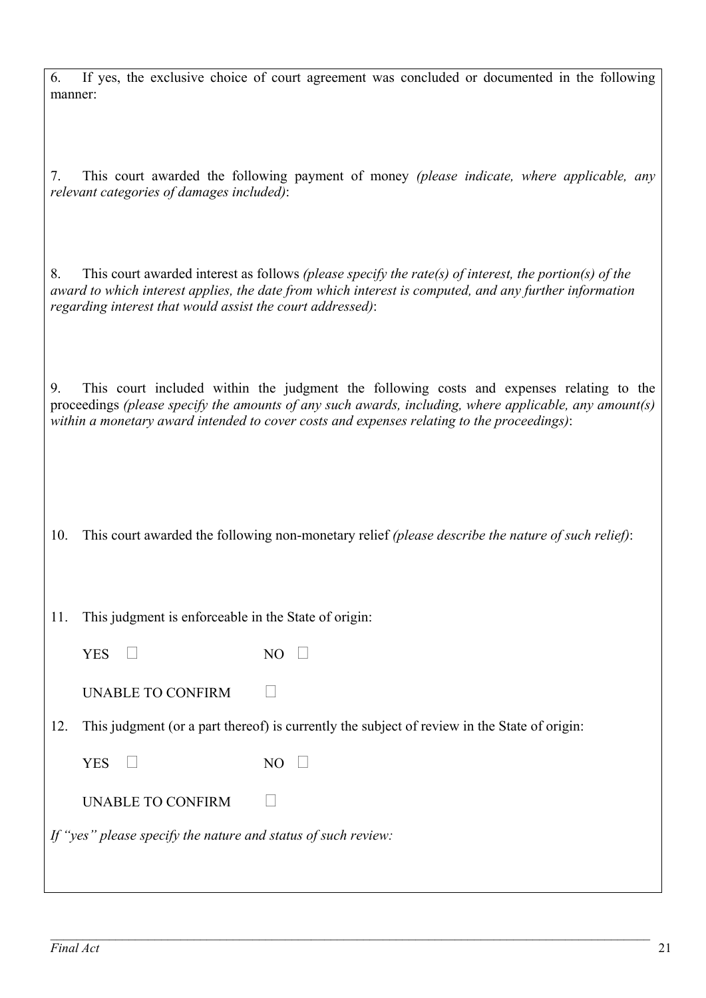6. If yes, the exclusive choice of court agreement was concluded or documented in the following manner:

7. This court awarded the following payment of money *(please indicate, where applicable, any relevant categories of damages included)*:

8. This court awarded interest as follows *(please specify the rate(s) of interest, the portion(s) of the award to which interest applies, the date from which interest is computed, and any further information regarding interest that would assist the court addressed)*:

9. This court included within the judgment the following costs and expenses relating to the proceedings *(please specify the amounts of any such awards, including, where applicable, any amount(s) within a monetary award intended to cover costs and expenses relating to the proceedings)*:

10. This court awarded the following non-monetary relief *(please describe the nature of such relief)*:

11. This judgment is enforceable in the State of origin:

| <b>YES</b> |  | NO |  |
|------------|--|----|--|
|            |  |    |  |

12. This judgment (or a part thereof) is currently the subject of review in the State of origin:

 $\mathcal{L} = \{ \mathcal{L} \mathcal{L} \mathcal{L} \mathcal{L} \mathcal{L} \mathcal{L} \mathcal{L} \mathcal{L} \mathcal{L} \mathcal{L} \mathcal{L} \mathcal{L} \mathcal{L} \mathcal{L} \mathcal{L} \mathcal{L} \mathcal{L} \mathcal{L} \mathcal{L} \mathcal{L} \mathcal{L} \mathcal{L} \mathcal{L} \mathcal{L} \mathcal{L} \mathcal{L} \mathcal{L} \mathcal{L} \mathcal{L} \mathcal{L} \mathcal{L} \mathcal{L} \mathcal{L} \mathcal{L} \mathcal{L} \$ 

UNABLE TO CONFIRM

*If "yes" please specify the nature and status of such review:*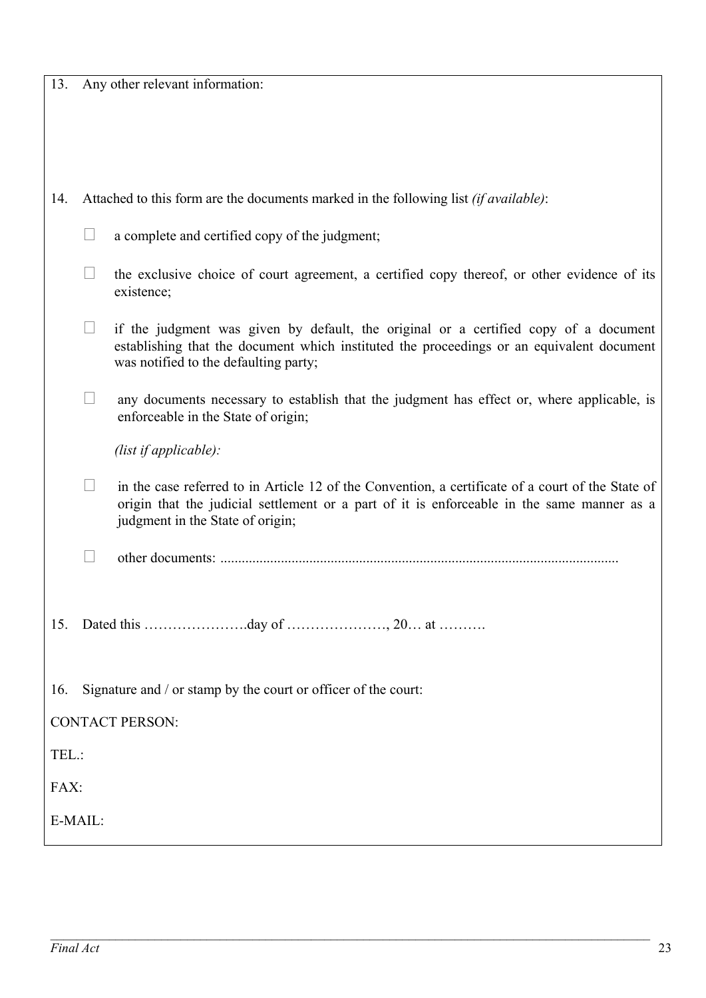|      | Any other relevant information:<br>13. |                                                                                                                                                                                                                                     |  |
|------|----------------------------------------|-------------------------------------------------------------------------------------------------------------------------------------------------------------------------------------------------------------------------------------|--|
|      |                                        |                                                                                                                                                                                                                                     |  |
|      |                                        |                                                                                                                                                                                                                                     |  |
|      |                                        |                                                                                                                                                                                                                                     |  |
| 14.  |                                        | Attached to this form are the documents marked in the following list <i>(if available)</i> :                                                                                                                                        |  |
|      |                                        | a complete and certified copy of the judgment;                                                                                                                                                                                      |  |
|      |                                        | the exclusive choice of court agreement, a certified copy thereof, or other evidence of its<br>existence;                                                                                                                           |  |
|      | $\Box$                                 | if the judgment was given by default, the original or a certified copy of a document<br>establishing that the document which instituted the proceedings or an equivalent document<br>was notified to the defaulting party;          |  |
|      | $\Box$                                 | any documents necessary to establish that the judgment has effect or, where applicable, is<br>enforceable in the State of origin;                                                                                                   |  |
|      |                                        | (list if applicable):                                                                                                                                                                                                               |  |
|      |                                        | in the case referred to in Article 12 of the Convention, a certificate of a court of the State of<br>origin that the judicial settlement or a part of it is enforceable in the same manner as a<br>judgment in the State of origin; |  |
|      |                                        |                                                                                                                                                                                                                                     |  |
| 15.  |                                        |                                                                                                                                                                                                                                     |  |
|      |                                        |                                                                                                                                                                                                                                     |  |
| 16.  |                                        | Signature and / or stamp by the court or officer of the court:                                                                                                                                                                      |  |
|      |                                        | <b>CONTACT PERSON:</b>                                                                                                                                                                                                              |  |
| TEL: |                                        |                                                                                                                                                                                                                                     |  |
|      |                                        |                                                                                                                                                                                                                                     |  |
| FAX: |                                        |                                                                                                                                                                                                                                     |  |
|      | E-MAIL:                                |                                                                                                                                                                                                                                     |  |
|      |                                        |                                                                                                                                                                                                                                     |  |

 $\mathcal{L} = \{ \mathcal{L} \mathcal{L} \mathcal{L} \mathcal{L} \mathcal{L} \mathcal{L} \mathcal{L} \mathcal{L} \mathcal{L} \mathcal{L} \mathcal{L} \mathcal{L} \mathcal{L} \mathcal{L} \mathcal{L} \mathcal{L} \mathcal{L} \mathcal{L} \mathcal{L} \mathcal{L} \mathcal{L} \mathcal{L} \mathcal{L} \mathcal{L} \mathcal{L} \mathcal{L} \mathcal{L} \mathcal{L} \mathcal{L} \mathcal{L} \mathcal{L} \mathcal{L} \mathcal{L} \mathcal{L} \mathcal{L} \$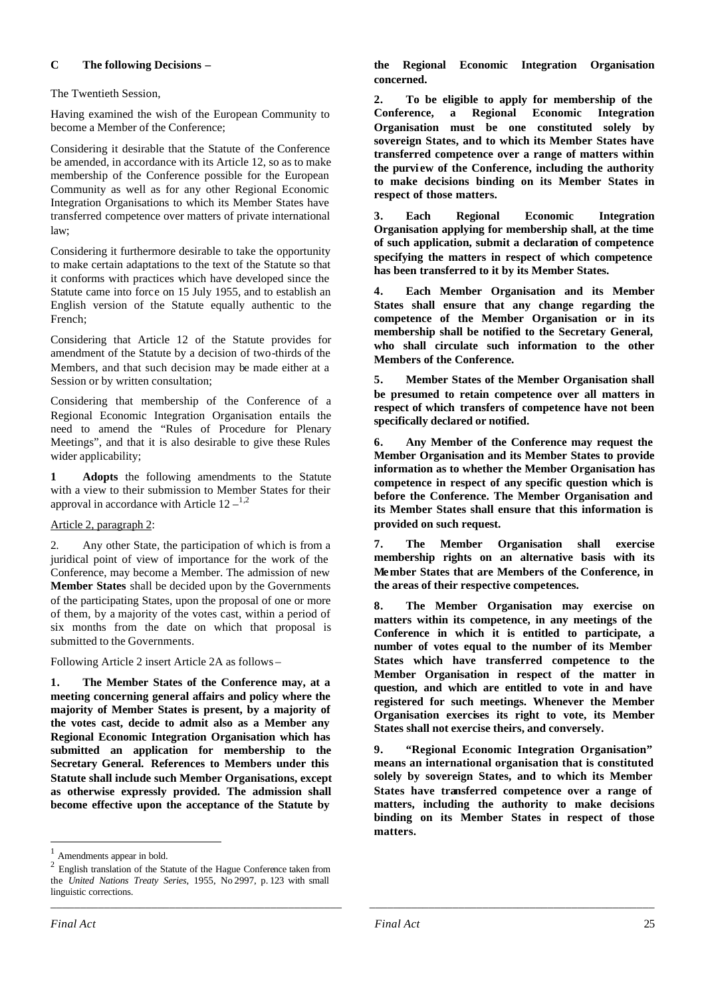#### **C The following Decisions –**

The Twentieth Session,

Having examined the wish of the European Community to become a Member of the Conference;

Considering it desirable that the Statute of the Conference be amended, in accordance with its Article 12, so as to make membership of the Conference possible for the European Community as well as for any other Regional Economic Integration Organisations to which its Member States have transferred competence over matters of private international law;

Considering it furthermore desirable to take the opportunity to make certain adaptations to the text of the Statute so that it conforms with practices which have developed since the Statute came into force on 15 July 1955, and to establish an English version of the Statute equally authentic to the French;

Considering that Article 12 of the Statute provides for amendment of the Statute by a decision of two-thirds of the Members, and that such decision may be made either at a Session or by written consultation;

Considering that membership of the Conference of a Regional Economic Integration Organisation entails the need to amend the "Rules of Procedure for Plenary Meetings", and that it is also desirable to give these Rules wider applicability;

**1 Adopts** the following amendments to the Statute with a view to their submission to Member States for their approval in accordance with Article  $12-^{1,2}$ 

#### Article 2, paragraph 2:

2. Any other State, the participation of which is from a juridical point of view of importance for the work of the Conference, may become a Member. The admission of new **Member States** shall be decided upon by the Governments of the participating States, upon the proposal of one or more of them, by a majority of the votes cast, within a period of six months from the date on which that proposal is submitted to the Governments.

Following Article 2 insert Article 2A as follows –

**1. The Member States of the Conference may, at a meeting concerning general affairs and policy where the majority of Member States is present, by a majority of the votes cast, decide to admit also as a Member any Regional Economic Integration Organisation which has submitted an application for membership to the Secretary General. References to Members under this Statute shall include such Member Organisations, except as otherwise expressly provided. The admission shall become effective upon the acceptance of the Statute by**

**the Regional Economic Integration Organisation concerned.**

**2. To be eligible to apply for membership of the Conference, a Regional Economic Integration Organisation must be one constituted solely by sovereign States, and to which its Member States have transferred competence over a range of matters within the purvi ew of the Conference, including the authority to make decisions binding on its Member States in respect of those matters.**

**3. Each Regional Economic Integration Organisation applying for membership shall, at the time of such application, submit a declaration of competence specifying the matters in respect of which competence has been transferred to it by its Member States.**

**4. Each Member Organisation and its Member States shall ensure that any change regarding the competence of the Member Organisation or in its membership shall be notified to the Secretary General, who shall circulate such information to the other Members of the Conference.**

**5. Member States of the Member Organisation shall be presumed to retain competence over all matters in respect of which transfers of competence have not been specifically declared or notified.**

**6. Any Member of the Conference may request the Member Organisation and its Member States to provide information as to whether the Member Organisation has competence in respect of any specific question which is before the Conference. The Member Organisation and its Member States shall ensure that this information is provided on such request.**

**7. The Member Organisation shall exercise membership rights on an alternative basis with its Member States that are Members of the Conference, in the areas of their respective competences.**

**8. The Member Organisation may exercise on matters within its competence, in any meetings of the Conference in which it is entitled to participate, a number of votes equal to the number of its Member States which have transferred competence to the Member Organisation in respect of the matter in question, and which are entitled to vote in and have registered for such meetings. Whenever the Member Organisation exercises its right to vote, its Member States shall not exercise theirs, and conversely.**

**9. "Regional Economic Integration Organisation" means an international organisation that is constituted solely by sovereign States, and to which its Member States have transferred competence over a range of matters, including the authority to make decisions binding on its Member States in respect of those matters.**

*\_\_\_\_\_\_\_\_\_\_\_\_\_\_\_\_\_\_\_\_\_\_\_\_\_\_\_\_\_\_\_\_\_\_\_\_\_\_\_\_\_\_\_\_\_\_\_\_*

l

<sup>1</sup> Amendments appear in bold.

*\_\_\_\_\_\_\_\_\_\_\_\_\_\_\_\_\_\_\_\_\_\_\_\_\_\_\_\_\_\_\_\_\_\_\_\_\_\_\_\_\_\_\_\_\_\_\_\_\_* <sup>2</sup> English translation of the Statute of the Hague Conference taken from the *United Nations Treaty Series*, 1955, No 2997, p. 123 with small linguistic corrections.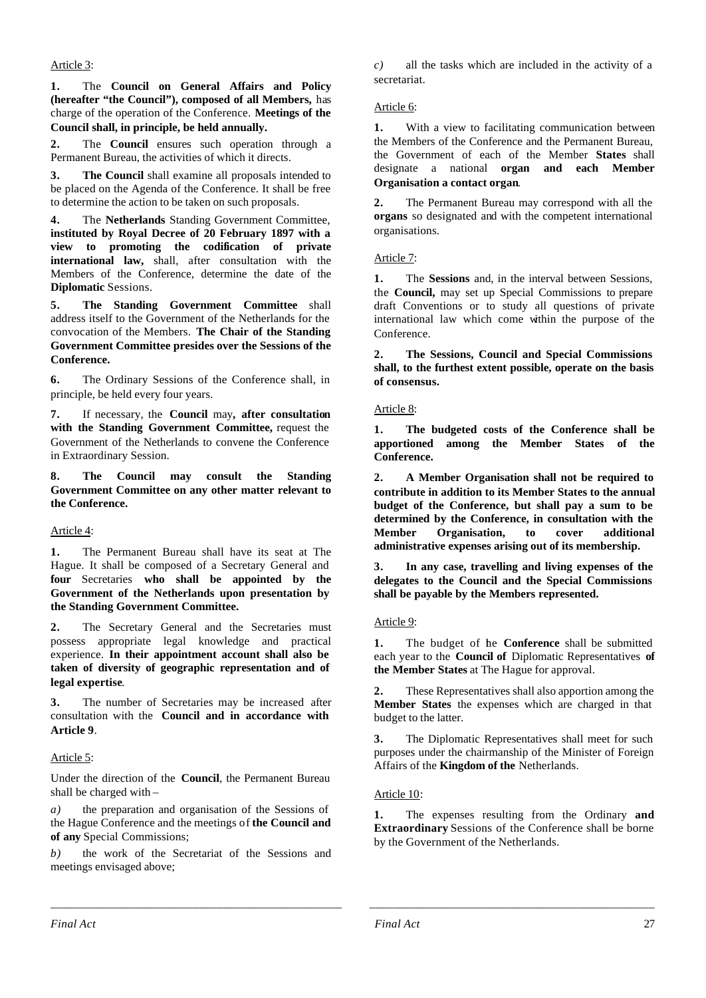Article 3:

**1.** The **Council on General Affairs and Policy (hereafter "the Council"), composed of all Members,** has charge of the operation of the Conference. **Meetings of the Council shall, in principle, be held annually.**

**2.** The **Council** ensures such operation through a Permanent Bureau, the activities of which it directs.

**3. The Council** shall examine all proposals intended to be placed on the Agenda of the Conference. It shall be free to determine the action to be taken on such proposals.

**4.** The **Netherlands** Standing Government Committee, **instituted by Royal Decree of 20 February 1897 with a view to promoting the codification of private international law,** shall, after consultation with the Members of the Conference, determine the date of the **Diplomatic** Sessions.

**5. The Standing Government Committee** shall address itself to the Government of the Netherlands for the convocation of the Members. **The Chair of the Standing Government Committee presides over the Sessions of the Conference.**

**6.** The Ordinary Sessions of the Conference shall, in principle, be held every four years.

**7.** If necessary, the **Council** may**, after consultation with the Standing Government Committee,** request the Government of the Netherlands to convene the Conference in Extraordinary Session.

**8. The Council may consult the Standing Government Committee on any other matter relevant to the Conference.**

#### Article 4:

**1.** The Permanent Bureau shall have its seat at The Hague. It shall be composed of a Secretary General and **four** Secretaries **who shall be appointed by the Government of the Netherlands upon presentation by the Standing Government Committee.**

**2.** The Secretary General and the Secretaries must possess appropriate legal knowledge and practical experience. **In their appointment account shall also be taken of diversity of geographic representation and of legal expertise**.

**3.** The number of Secretaries may be increased after consultation with the **Council and in accordance with Article 9**.

#### Article 5:

Under the direction of the **Council**, the Permanent Bureau shall be charged with –

*a)* the preparation and organisation of the Sessions of the Hague Conference and the meetings of **the Council and of any** Special Commissions;

*b)* the work of the Secretariat of the Sessions and meetings envisaged above;

*\_\_\_\_\_\_\_\_\_\_\_\_\_\_\_\_\_\_\_\_\_\_\_\_\_\_\_\_\_\_\_\_\_\_\_\_\_\_\_\_\_\_\_\_\_\_\_\_\_*

*c)* all the tasks which are included in the activity of a secretariat.

#### Article 6:

**1.** With a view to facilitating communication between the Members of the Conference and the Permanent Bureau, the Government of each of the Member **States** shall designate a national **organ and each Member Organisation a contact organ**.

**2.** The Permanent Bureau may correspond with all the **organs** so designated and with the competent international organisations.

#### Article 7:

**1.** The **Sessions** and, in the interval between Sessions, the **Council,** may set up Special Commissions to prepare draft Conventions or to study all questions of private international law which come within the purpose of the Conference.

**2. The Sessions, Council and Special Commissions shall, to the furthest extent possible, operate on the basis of consensus.**

#### Article 8:

**1. The budgeted costs of the Conference shall be apportioned among the Member States of the Conference.**

**2. A Member Organisation shall not be required to contribute in addition to its Member States to the annual budget of the Conference, but shall pay a sum to be determined by the Conference, in consultation with the Member Organisation, to cover additional administrative expenses arising out of its membership.**

**3. In any case, travelling and living expenses of the delegates to the Council and the Special Commissions shall be payable by the Members represented.**

#### Article 9:

1. The budget of he **Conference** shall be submitted each year to the **Council of** Diplomatic Representatives **of the Member States** at The Hague for approval.

**2.** These Representatives shall also apportion among the **Member States** the expenses which are charged in that budget to the latter.

**3.** The Diplomatic Representatives shall meet for such purposes under the chairmanship of the Minister of Foreign Affairs of the **Kingdom of the** Netherlands.

#### Article 10:

**1.** The expenses resulting from the Ordinary **and Extraordinary** Sessions of the Conference shall be borne by the Government of the Netherlands.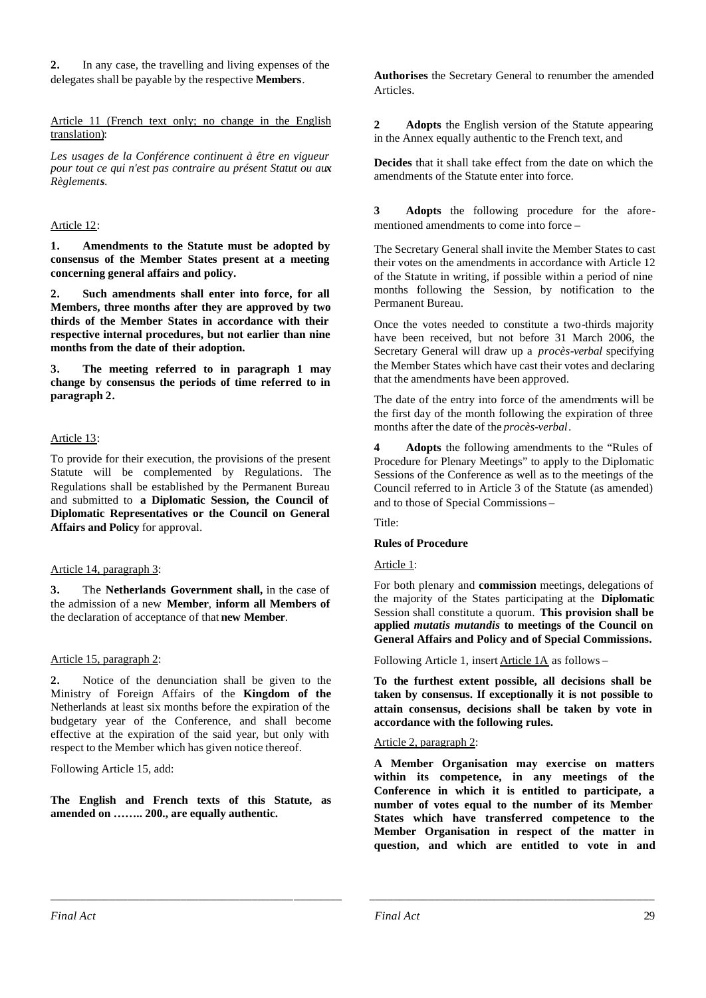**2.** In any case, the travelling and living expenses of the delegates shall be payable by the respective **Members**.

Article 11 (French text only; no change in the English translation):

*Les usages de la Conférence continuent à être en vigueur pour tout ce qui n'est pas contraire au présent Statut ou aux Règlements.*

#### Article 12:

**1. Amendments to the Statute must be adopted by consensus of the Member States present at a meeting concerning general affairs and policy.**

**2. Such amendments shall enter into force, for all Members, three months after they are approved by two thirds of the Member States in accordance with their respective internal procedures, but not earlier than nine months from the date of their adoption.**

**3. The meeting referred to in paragraph 1 may change by consensus the periods of time referred to in paragraph 2.**

#### Article 13:

To provide for their execution, the provisions of the present Statute will be complemented by Regulations. The Regulations shall be established by the Permanent Bureau and submitted to **a Diplomatic Session, the Council of Diplomatic Representatives or the Council on General Affairs and Policy** for approval.

#### Article 14, paragraph 3:

**3.** The **Netherlands Government shall,** in the case of the admission of a new **Member**, **inform all Members of**  the declaration of acceptance of that **new Member**.

#### Article 15, paragraph 2:

**2.** Notice of the denunciation shall be given to the Ministry of Foreign Affairs of the **Kingdom of the** Netherlands at least six months before the expiration of the budgetary year of the Conference, and shall become effective at the expiration of the said year, but only with respect to the Member which has given notice thereof.

Following Article 15, add:

**The English and French texts of this Statute, as amended on …….. 200., are equally authentic.**

*\_\_\_\_\_\_\_\_\_\_\_\_\_\_\_\_\_\_\_\_\_\_\_\_\_\_\_\_\_\_\_\_\_\_\_\_\_\_\_\_\_\_\_\_\_\_\_\_\_*

**Authorises** the Secretary General to renumber the amended Articles.

**2 Adopts** the English version of the Statute appearing in the Annex equally authentic to the French text, and

**Decides** that it shall take effect from the date on which the amendments of the Statute enter into force.

**3 Adopts** the following procedure for the aforementioned amendments to come into force –

The Secretary General shall invite the Member States to cast their votes on the amendments in accordance with Article 12 of the Statute in writing, if possible within a period of nine months following the Session, by notification to the Permanent Bureau.

Once the votes needed to constitute a two-thirds majority have been received, but not before 31 March 2006, the Secretary General will draw up a *procès-verbal* specifying the Member States which have cast their votes and declaring that the amendments have been approved.

The date of the entry into force of the amendments will be the first day of the month following the expiration of three months after the date of the *procès-verbal*.

**4 Adopts** the following amendments to the "Rules of Procedure for Plenary Meetings" to apply to the Diplomatic Sessions of the Conference as well as to the meetings of the Council referred to in Article 3 of the Statute (as amended) and to those of Special Commissions –

Title:

#### **Rules of Procedure**

#### Article 1:

For both plenary and **commission** meetings, delegations of the majority of the States participating at the **Diplomatic**  Session shall constitute a quorum. **This provision shall be applied** *mutatis mutandis* **to meetings of the Council on General Affairs and Policy and of Special Commissions.**

Following Article 1, insert Article 1A as follows –

**To the furthest extent possible, all decisions shall be taken by consensus. If exceptionally it is not possible to attain consensus, decisions shall be taken by vote in accordance with the following rules.**

#### Article 2, paragraph 2:

**A Member Organisation may exercise on matters within its competence, in any meetings of the Conference in which it is entitled to participate, a number of votes equal to the number of its Member States which have transferred competence to the Member Organisation in respect of the matter in question, and which are entitled to vote in and**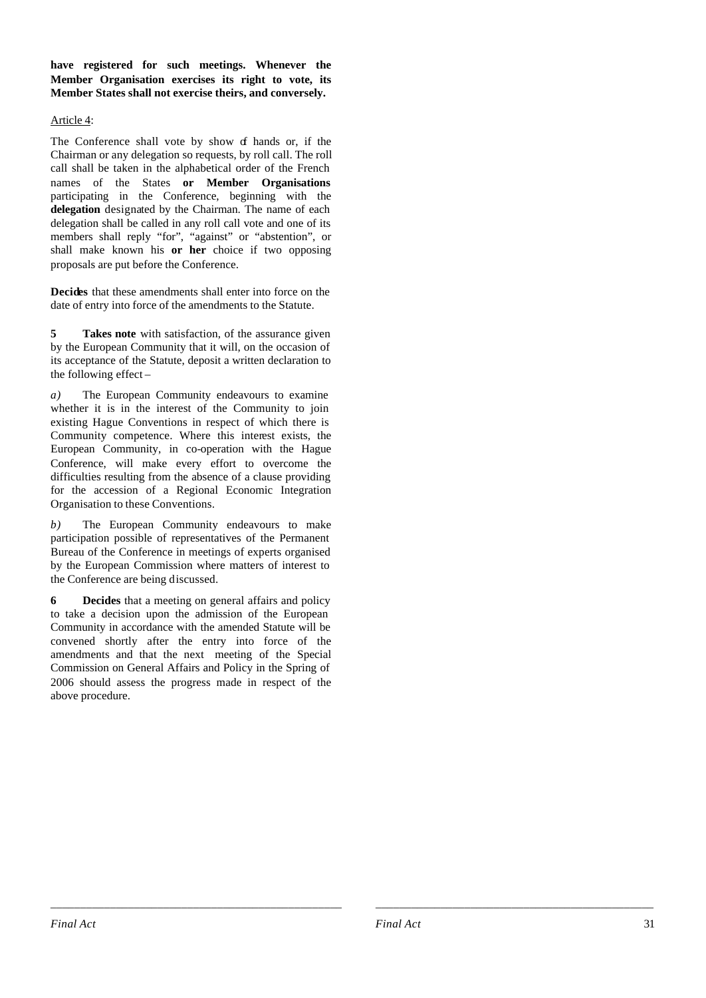**have registered for such meetings. Whenever the Member Organisation exercises its right to vote, its Member States shall not exercise theirs, and conversely.**

#### Article 4:

The Conference shall vote by show of hands or, if the Chairman or any delegation so requests, by roll call. The roll call shall be taken in the alphabetical order of the French names of the States **or Member Organisations** participating in the Conference, beginning with the **delegation** designated by the Chairman. The name of each delegation shall be called in any roll call vote and one of its members shall reply "for", "against" or "abstention", or shall make known his **or her** choice if two opposing proposals are put before the Conference.

**Decides** that these amendments shall enter into force on the date of entry into force of the amendments to the Statute.

**5 Takes note** with satisfaction, of the assurance given by the European Community that it will, on the occasion of its acceptance of the Statute, deposit a written declaration to the following effect –

*a)* The European Community endeavours to examine whether it is in the interest of the Community to join existing Hague Conventions in respect of which there is Community competence. Where this interest exists, the European Community, in co-operation with the Hague Conference, will make every effort to overcome the difficulties resulting from the absence of a clause providing for the accession of a Regional Economic Integration Organisation to these Conventions.

*b)* The European Community endeavours to make participation possible of representatives of the Permanent Bureau of the Conference in meetings of experts organised by the European Commission where matters of interest to the Conference are being discussed.

**6 Decides** that a meeting on general affairs and policy to take a decision upon the admission of the European Community in accordance with the amended Statute will be convened shortly after the entry into force of the amendments and that the next meeting of the Special Commission on General Affairs and Policy in the Spring of 2006 should assess the progress made in respect of the above procedure.

*\_\_\_\_\_\_\_\_\_\_\_\_\_\_\_\_\_\_\_\_\_\_\_\_\_\_\_\_\_\_\_\_\_\_\_\_\_\_\_\_\_\_\_\_\_\_\_\_\_*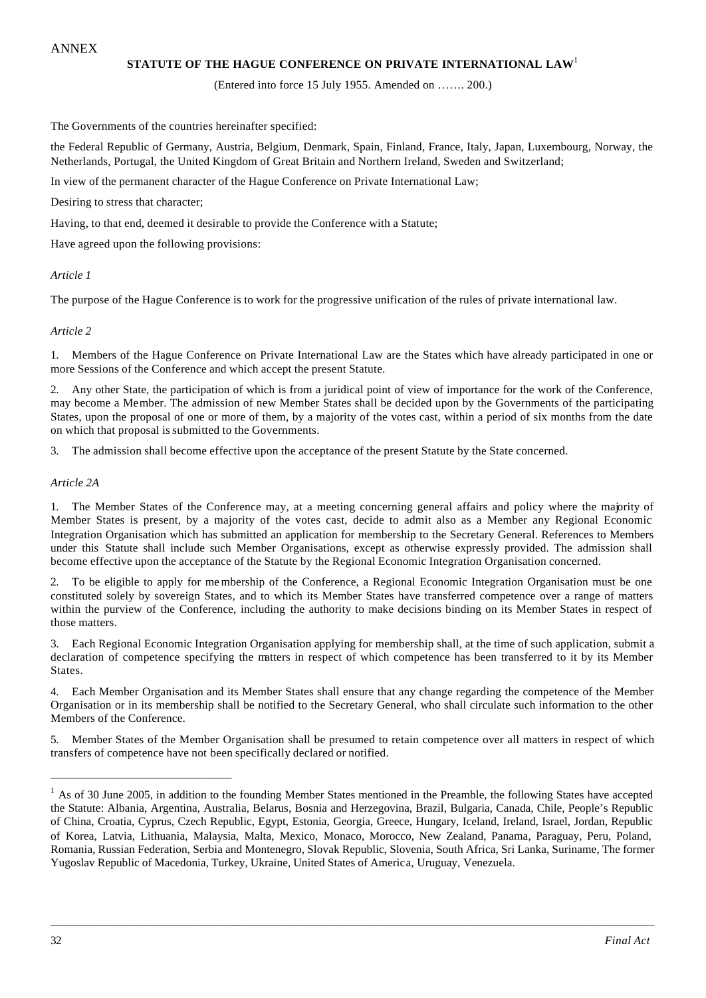#### **STATUTE OF THE HAGUE CONFERENCE ON PRIVATE INTERNATIONAL LAW**<sup>1</sup>

(Entered into force 15 July 1955. Amended on ……. 200.)

The Governments of the countries hereinafter specified:

the Federal Republic of Germany, Austria, Belgium, Denmark, Spain, Finland, France, Italy, Japan, Luxembourg, Norway, the Netherlands, Portugal, the United Kingdom of Great Britain and Northern Ireland, Sweden and Switzerland;

In view of the permanent character of the Hague Conference on Private International Law;

Desiring to stress that character;

Having, to that end, deemed it desirable to provide the Conference with a Statute;

Have agreed upon the following provisions:

#### *Article 1*

The purpose of the Hague Conference is to work for the progressive unification of the rules of private international law.

#### *Article 2*

1. Members of the Hague Conference on Private International Law are the States which have already participated in one or more Sessions of the Conference and which accept the present Statute.

2. Any other State, the participation of which is from a juridical point of view of importance for the work of the Conference, may become a Member. The admission of new Member States shall be decided upon by the Governments of the participating States, upon the proposal of one or more of them, by a majority of the votes cast, within a period of six months from the date on which that proposal is submitted to the Governments.

3. The admission shall become effective upon the acceptance of the present Statute by the State concerned.

#### *Article 2A*

1. The Member States of the Conference may, at a meeting concerning general affairs and policy where the majority of Member States is present, by a majority of the votes cast, decide to admit also as a Member any Regional Economic Integration Organisation which has submitted an application for membership to the Secretary General. References to Members under this Statute shall include such Member Organisations, except as otherwise expressly provided. The admission shall become effective upon the acceptance of the Statute by the Regional Economic Integration Organisation concerned.

2. To be eligible to apply for membership of the Conference, a Regional Economic Integration Organisation must be one constituted solely by sovereign States, and to which its Member States have transferred competence over a range of matters within the purview of the Conference, including the authority to make decisions binding on its Member States in respect of those matters.

3. Each Regional Economic Integration Organisation applying for membership shall, at the time of such application, submit a declaration of competence specifying the matters in respect of which competence has been transferred to it by its Member States.

4. Each Member Organisation and its Member States shall ensure that any change regarding the competence of the Member Organisation or in its membership shall be notified to the Secretary General, who shall circulate such information to the other Members of the Conference.

5. Member States of the Member Organisation shall be presumed to retain competence over all matters in respect of which transfers of competence have not been specifically declared or notified.

*\_\_\_\_\_\_\_\_\_\_\_\_\_\_\_\_\_\_\_\_\_\_\_\_\_\_\_\_\_\_\_\_\_\_\_\_\_\_\_\_\_\_\_\_\_\_\_\_\_\_\_\_\_\_\_\_\_\_\_\_\_\_\_\_\_\_\_\_\_\_\_\_\_\_\_\_\_\_\_\_\_\_\_\_\_\_\_\_\_\_\_\_\_\_\_\_\_\_\_\_\_\_*

\_\_\_\_\_\_\_\_\_\_\_\_\_\_\_\_\_\_\_\_\_\_\_\_\_\_\_\_\_\_\_

 $<sup>1</sup>$  As of 30 June 2005, in addition to the founding Member States mentioned in the Preamble, the following States have accepted</sup> the Statute: Albania, Argentina, Australia, Belarus, Bosnia and Herzegovina, Brazil, Bulgaria, Canada, Chile, People's Republic of China, Croatia, Cyprus, Czech Republic, Egypt, Estonia, Georgia, Greece, Hungary, Iceland, Ireland, Israel, Jordan, Republic of Korea, Latvia, Lithuania, Malaysia, Malta, Mexico, Monaco, Morocco, New Zealand, Panama, Paraguay, Peru, Poland, Romania, Russian Federation, Serbia and Montenegro, Slovak Republic, Slovenia, South Africa, Sri Lanka, Suriname, The former Yugoslav Republic of Macedonia, Turkey, Ukraine, United States of America, Uruguay, Venezuela.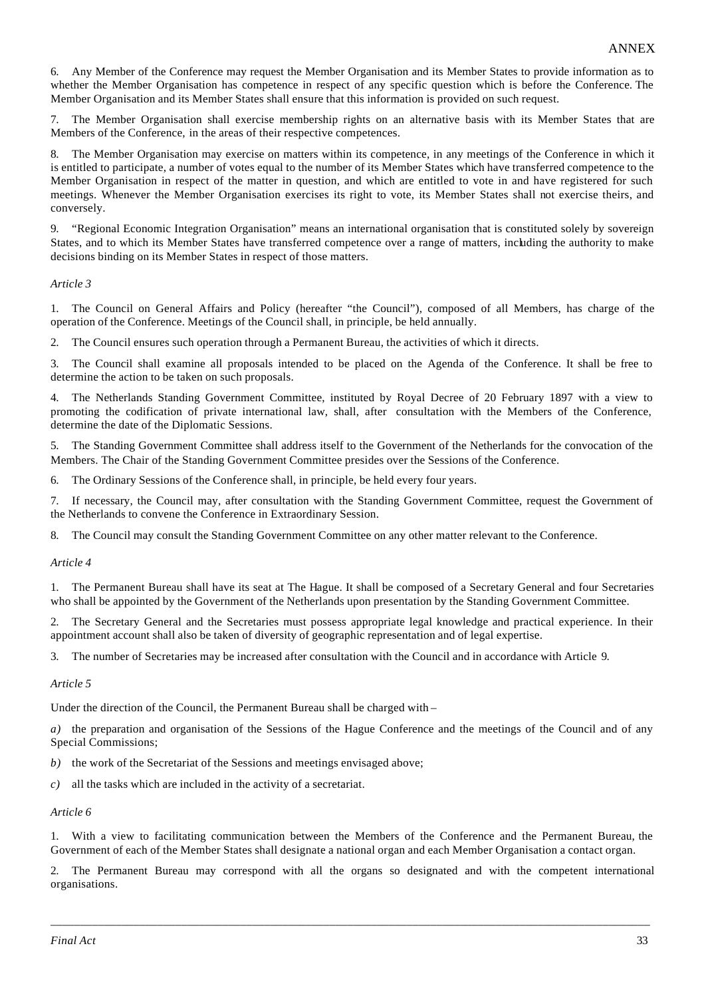6. Any Member of the Conference may request the Member Organisation and its Member States to provide information as to whether the Member Organisation has competence in respect of any specific question which is before the Conference. The Member Organisation and its Member States shall ensure that this information is provided on such request.

7. The Member Organisation shall exercise membership rights on an alternative basis with its Member States that are Members of the Conference, in the areas of their respective competences.

8. The Member Organisation may exercise on matters within its competence, in any meetings of the Conference in which it is entitled to participate, a number of votes equal to the number of its Member States which have transferred competence to the Member Organisation in respect of the matter in question, and which are entitled to vote in and have registered for such meetings. Whenever the Member Organisation exercises its right to vote, its Member States shall not exercise theirs, and conversely.

9. "Regional Economic Integration Organisation" means an international organisation that is constituted solely by sovereign States, and to which its Member States have transferred competence over a range of matters, including the authority to make decisions binding on its Member States in respect of those matters.

#### *Article 3*

1. The Council on General Affairs and Policy (hereafter "the Council"), composed of all Members, has charge of the operation of the Conference. Meetings of the Council shall, in principle, be held annually.

2. The Council ensures such operation through a Permanent Bureau, the activities of which it directs.

3. The Council shall examine all proposals intended to be placed on the Agenda of the Conference. It shall be free to determine the action to be taken on such proposals.

4. The Netherlands Standing Government Committee, instituted by Royal Decree of 20 February 1897 with a view to promoting the codification of private international law, shall, after consultation with the Members of the Conference, determine the date of the Diplomatic Sessions.

5. The Standing Government Committee shall address itself to the Government of the Netherlands for the convocation of the Members. The Chair of the Standing Government Committee presides over the Sessions of the Conference.

6. The Ordinary Sessions of the Conference shall, in principle, be held every four years.

7. If necessary, the Council may, after consultation with the Standing Government Committee, request the Government of the Netherlands to convene the Conference in Extraordinary Session.

8. The Council may consult the Standing Government Committee on any other matter relevant to the Conference.

*Article 4*

1. The Permanent Bureau shall have its seat at The Hague. It shall be composed of a Secretary General and four Secretaries who shall be appointed by the Government of the Netherlands upon presentation by the Standing Government Committee.

2. The Secretary General and the Secretaries must possess appropriate legal knowledge and practical experience. In their appointment account shall also be taken of diversity of geographic representation and of legal expertise.

3. The number of Secretaries may be increased after consultation with the Council and in accordance with Article 9.

#### *Article 5*

Under the direction of the Council, the Permanent Bureau shall be charged with –

*a)* the preparation and organisation of the Sessions of the Hague Conference and the meetings of the Council and of any Special Commissions;

*b)* the work of the Secretariat of the Sessions and meetings envisaged above;

*c)* all the tasks which are included in the activity of a secretariat.

#### *Article 6*

1. With a view to facilitating communication between the Members of the Conference and the Permanent Bureau, the Government of each of the Member States shall designate a national organ and each Member Organisation a contact organ.

2. The Permanent Bureau may correspond with all the organs so designated and with the competent international organisations.

*\_\_\_\_\_\_\_\_\_\_\_\_\_\_\_\_\_\_\_\_\_\_\_\_\_\_\_\_\_\_\_\_\_\_\_\_\_\_\_\_\_\_\_\_\_\_\_\_\_\_\_\_\_\_\_\_\_\_\_\_\_\_\_\_\_\_\_\_\_\_\_\_\_\_\_\_\_\_\_\_\_\_\_\_\_\_\_\_\_\_\_\_\_\_\_\_\_\_\_\_\_*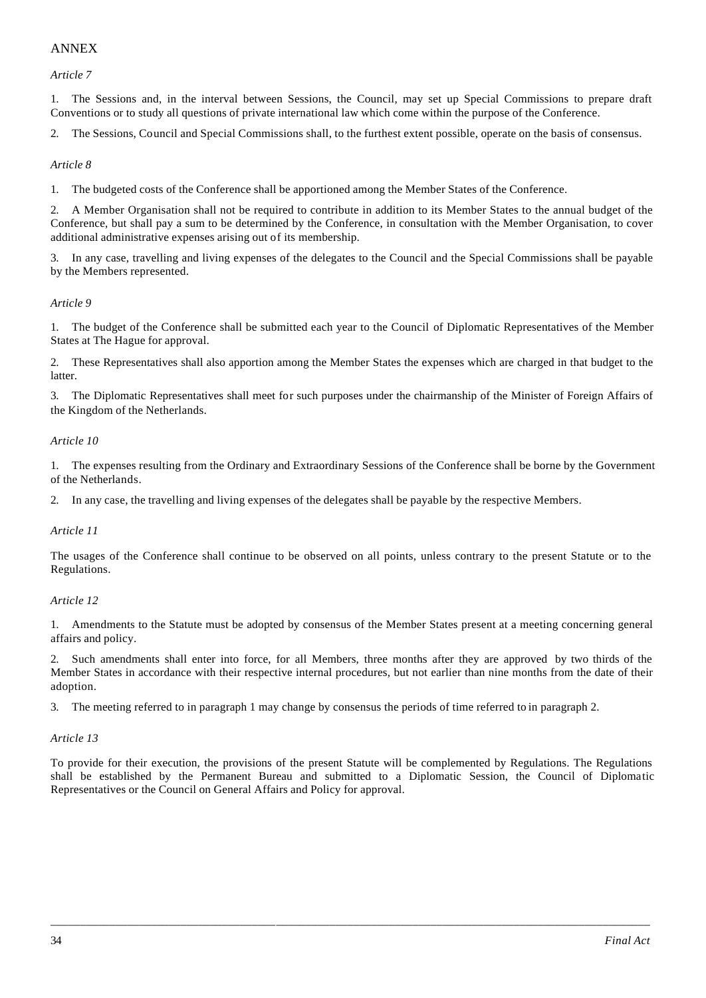#### ANNEX

#### *Article 7*

1. The Sessions and, in the interval between Sessions, the Council, may set up Special Commissions to prepare draft Conventions or to study all questions of private international law which come within the purpose of the Conference.

2. The Sessions, Council and Special Commissions shall, to the furthest extent possible, operate on the basis of consensus.

#### *Article 8*

1. The budgeted costs of the Conference shall be apportioned among the Member States of the Conference.

2. A Member Organisation shall not be required to contribute in addition to its Member States to the annual budget of the Conference, but shall pay a sum to be determined by the Conference, in consultation with the Member Organisation, to cover additional administrative expenses arising out of its membership.

3. In any case, travelling and living expenses of the delegates to the Council and the Special Commissions shall be payable by the Members represented.

#### *Article 9*

1. The budget of the Conference shall be submitted each year to the Council of Diplomatic Representatives of the Member States at The Hague for approval.

2. These Representatives shall also apportion among the Member States the expenses which are charged in that budget to the **latter** 

3. The Diplomatic Representatives shall meet for such purposes under the chairmanship of the Minister of Foreign Affairs of the Kingdom of the Netherlands.

#### *Article 10*

1. The expenses resulting from the Ordinary and Extraordinary Sessions of the Conference shall be borne by the Government of the Netherlands.

2. In any case, the travelling and living expenses of the delegates shall be payable by the respective Members.

#### *Article 11*

The usages of the Conference shall continue to be observed on all points, unless contrary to the present Statute or to the Regulations.

#### *Article 12*

1. Amendments to the Statute must be adopted by consensus of the Member States present at a meeting concerning general affairs and policy.

2. Such amendments shall enter into force, for all Members, three months after they are approved by two thirds of the Member States in accordance with their respective internal procedures, but not earlier than nine months from the date of their adoption.

3. The meeting referred to in paragraph 1 may change by consensus the periods of time referred to in paragraph 2.

#### *Article 13*

To provide for their execution, the provisions of the present Statute will be complemented by Regulations. The Regulations shall be established by the Permanent Bureau and submitted to a Diplomatic Session, the Council of Diplomatic Representatives or the Council on General Affairs and Policy for approval.

*\_\_\_\_\_\_\_\_\_\_\_\_\_\_\_\_\_\_\_\_\_\_\_\_\_\_\_\_\_\_\_\_\_\_\_\_\_\_\_\_\_\_\_\_\_\_\_\_\_\_\_\_\_\_\_\_\_\_\_\_\_\_\_\_\_\_\_\_\_\_\_\_\_\_\_\_\_\_\_\_\_\_\_\_\_\_\_\_\_\_\_\_\_\_\_\_\_\_\_\_\_*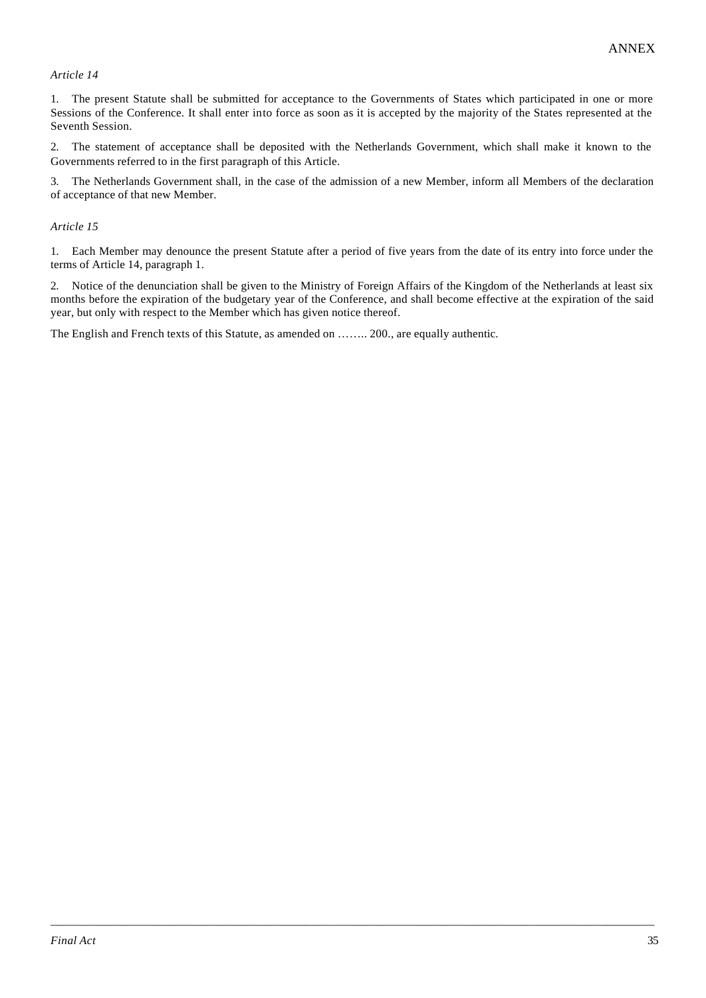#### *Article 14*

1. The present Statute shall be submitted for acceptance to the Governments of States which participated in one or more Sessions of the Conference. It shall enter into force as soon as it is accepted by the majority of the States represented at the Seventh Session.

2. The statement of acceptance shall be deposited with the Netherlands Government, which shall make it known to the Governments referred to in the first paragraph of this Article.

3. The Netherlands Government shall, in the case of the admission of a new Member, inform all Members of the declaration of acceptance of that new Member.

#### *Article 15*

1. Each Member may denounce the present Statute after a period of five years from the date of its entry into force under the terms of Article 14, paragraph 1.

2. Notice of the denunciation shall be given to the Ministry of Foreign Affairs of the Kingdom of the Netherlands at least six months before the expiration of the budgetary year of the Conference, and shall become effective at the expiration of the said year, but only with respect to the Member which has given notice thereof.

*\_\_\_\_\_\_\_\_\_\_\_\_\_\_\_\_\_\_\_\_\_\_\_\_\_\_\_\_\_\_\_\_\_\_\_\_\_\_\_\_\_\_\_\_\_\_\_\_\_\_\_\_\_\_\_\_\_\_\_\_\_\_\_\_\_\_\_\_\_\_\_\_\_\_\_\_\_\_\_\_\_\_\_\_\_\_\_\_\_\_\_\_\_\_\_\_\_\_\_\_\_\_*

The English and French texts of this Statute, as amended on …….. 200., are equally authentic.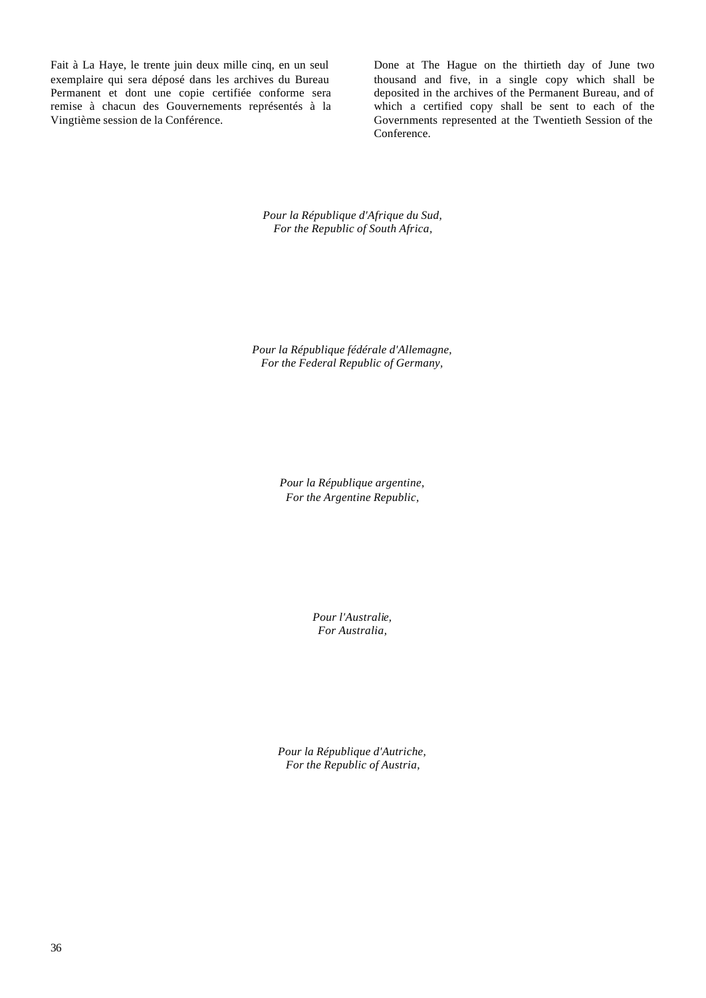Fait à La Haye, le trente juin deux mille cinq, en un seul exemplaire qui sera déposé dans les archives du Bureau Permanent et dont une copie certifiée conforme sera remise à chacun des Gouvernements représentés à la Vingtième session de la Conférence.

Done at The Hague on the thirtieth day of June two thousand and five, in a single copy which shall be deposited in the archives of the Permanent Bureau, and of which a certified copy shall be sent to each of the Governments represented at the Twentieth Session of the Conference.

*Pour la République d'Afrique du Sud, For the Republic of South Africa,*

*Pour la République fédérale d'Allemagne, For the Federal Republic of Germany,*

> *Pour la République argentine, For the Argentine Republic,*

> > *Pour l'Australie, For Australia,*

*Pour la République d'Autriche, For the Republic of Austria,*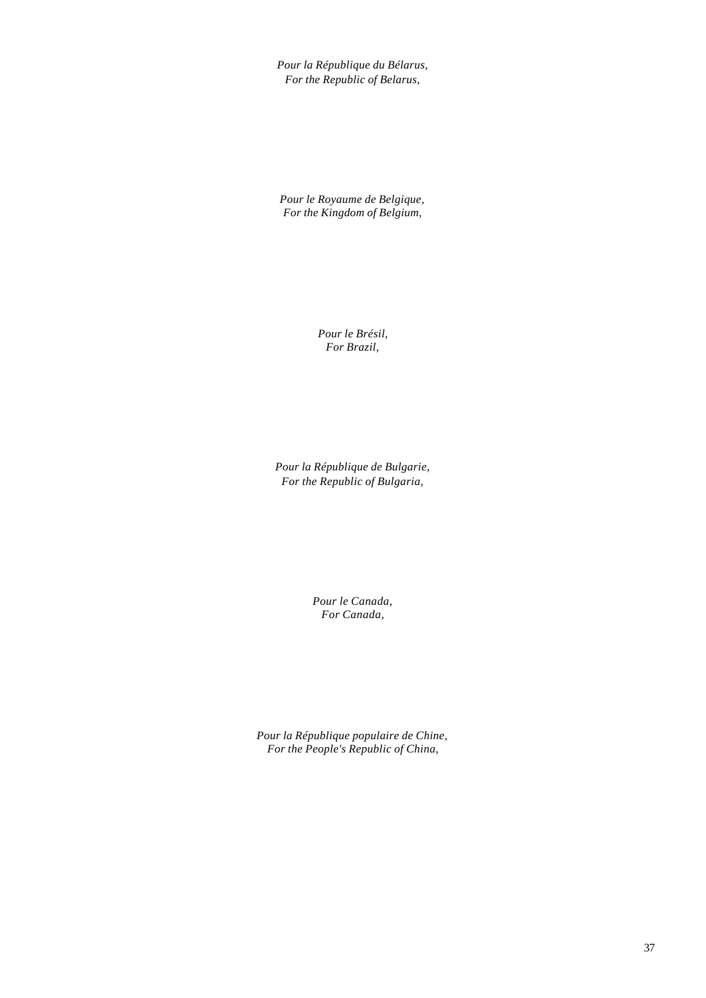*Pour la République du Bélarus, For the Republic of Belarus,*

*Pour le Royaume de Belgique, For the Kingdom of Belgium,*

> *Pour le Brésil, For Brazil,*

*Pour la République de Bulgarie, For the Republic of Bulgaria,*

> *Pour le Canada, For Canada,*

*Pour la République populaire de Chine, For the People's Republic of China,*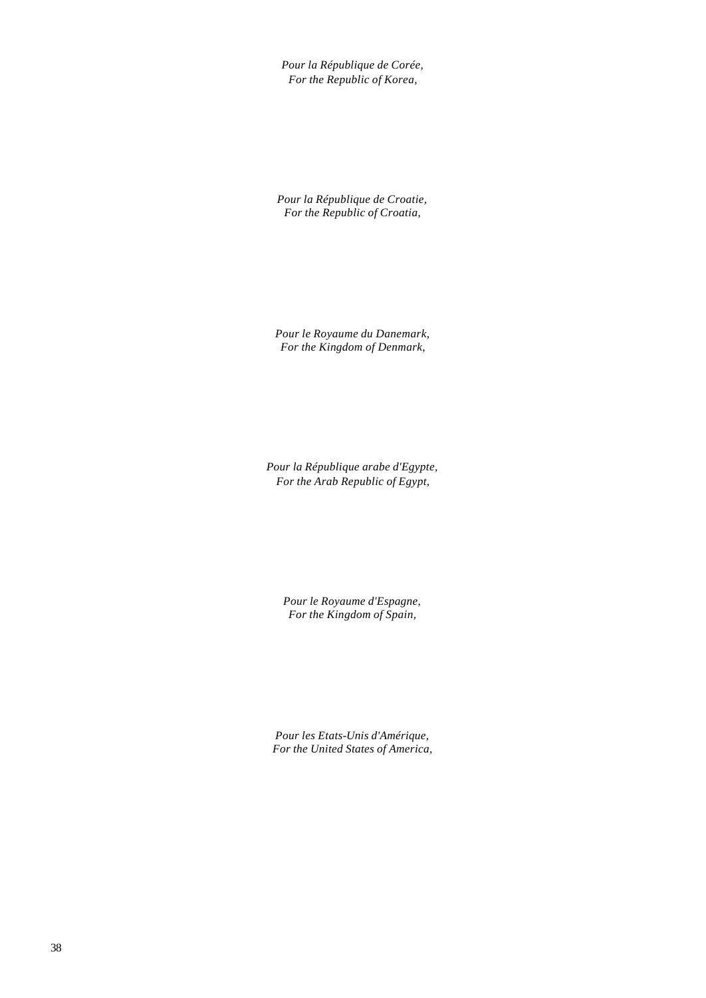*Pour la République de Corée, For the Republic of Korea,*

*Pour la République de Croatie, For the Republic of Croatia,*

*Pour le Royaume du Danemark, For the Kingdom of Denmark,*

*Pour la République arabe d'Egypte, For the Arab Republic of Egypt,*

*Pour le Royaume d'Espagne, For the Kingdom of Spain,*

*Pour les Etats-Unis d'Amérique, For the United States of America,*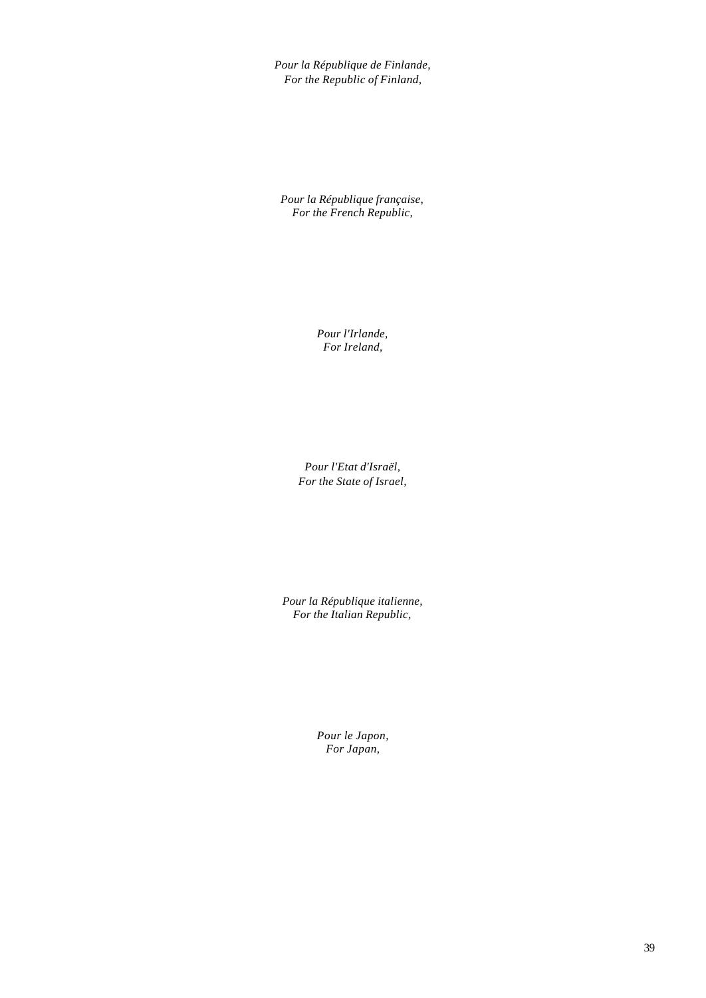*Pour la République de Finlande, For the Republic of Finland,*

*Pour la République française, For the French Republic,*

> *Pour l'Irlande, For Ireland,*

*Pour l'Etat d'Israël, For the State of Israel,*

*Pour la République italienne, For the Italian Republic,*

> *Pour le Japon, For Japan,*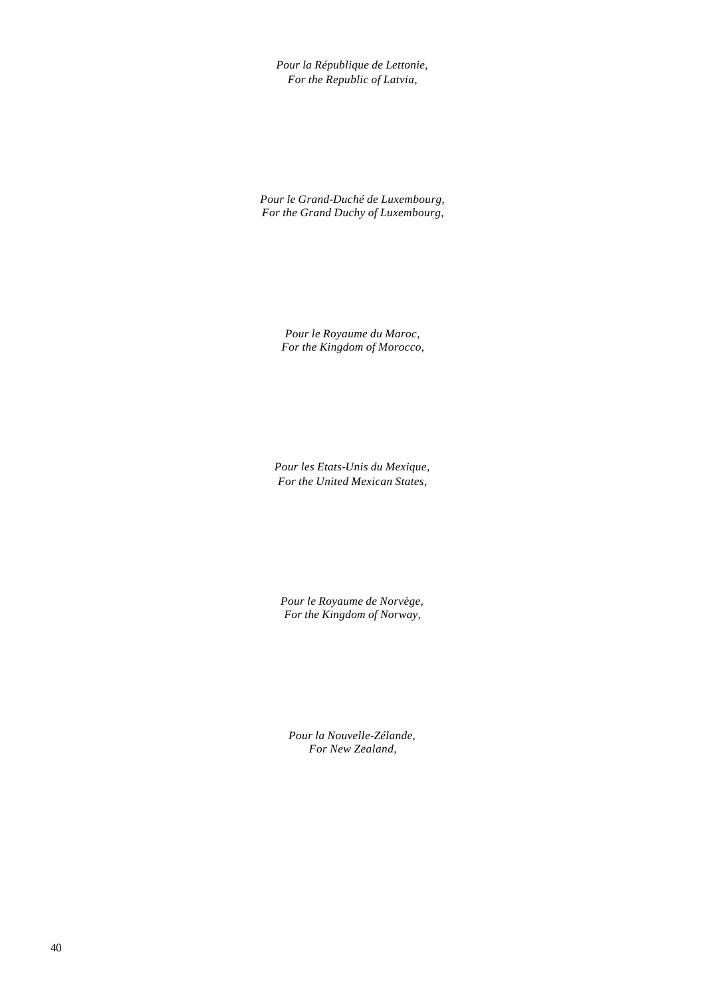*Pour la République de Lettonie, For the Republic of Latvia,*

*Pour le Grand-Duché de Luxembourg, For the Grand Duchy of Luxembourg,*

> *Pour le Royaume du Maroc, For the Kingdom of Morocco,*

*Pour les Etats-Unis du Mexique, For the United Mexican States,*

*Pour le Royaume de Norvège, For the Kingdom of Norway,*

*Pour la Nouvelle-Zélande, For New Zealand,*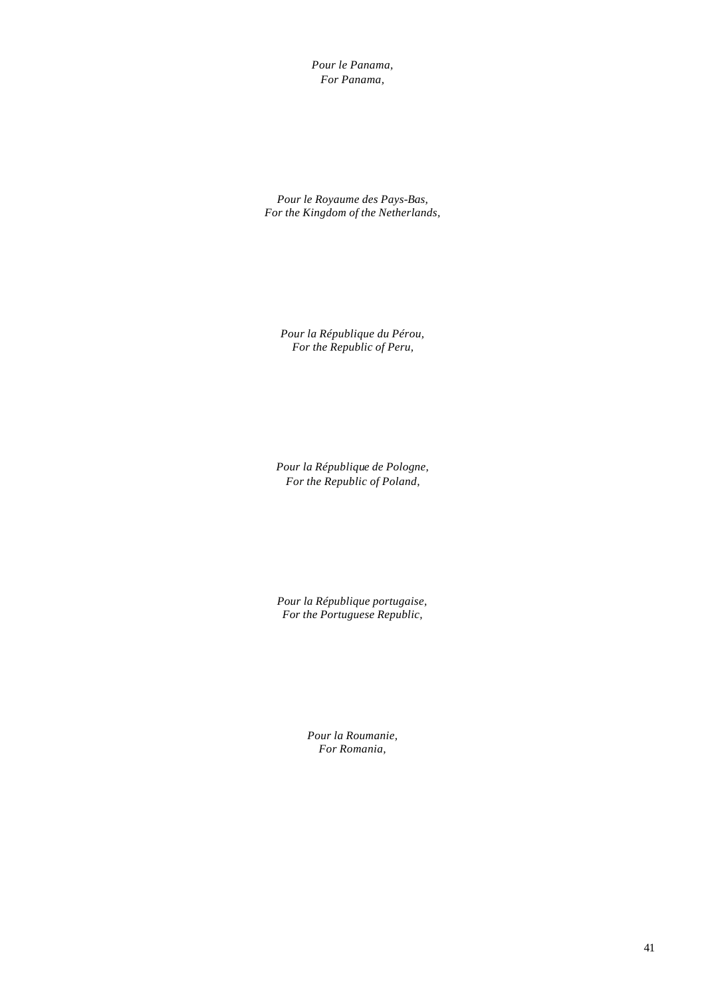*Pour le Panama, For Panama,*

*Pour le Royaume des Pays-Bas, For the Kingdom of the Netherlands,*

*Pour la République du Pérou, For the Republic of Peru,*

*Pour la République de Pologne, For the Republic of Poland,*

*Pour la République portugaise, For the Portuguese Republic,*

> *Pour la Roumanie, For Romania,*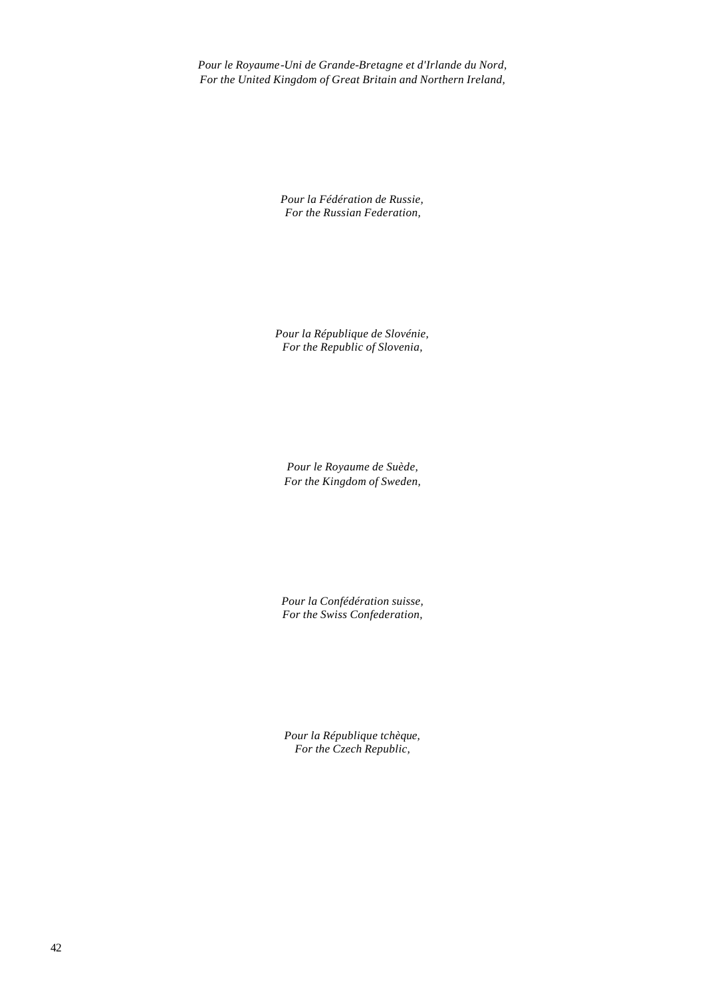*Pour le Royaume-Uni de Grande-Bretagne et d'Irlande du Nord, For the United Kingdom of Great Britain and Northern Ireland,*

> *Pour la Fédération de Russie, For the Russian Federation,*

*Pour la République de Slovénie, For the Republic of Slovenia,*

*Pour le Royaume de Suède, For the Kingdom of Sweden,*

*Pour la Confédération suisse, For the Swiss Confederation,*

*Pour la République tchèque, For the Czech Republic,*